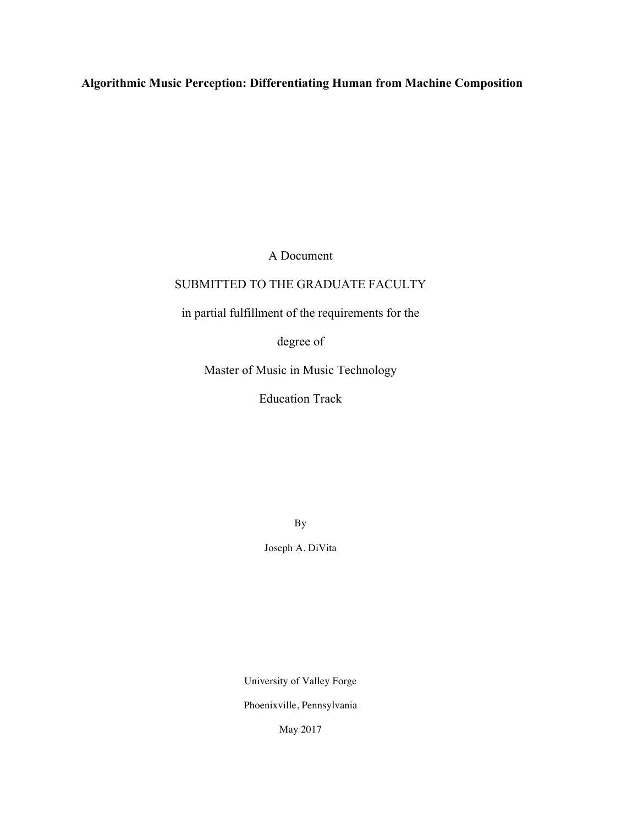**Algorithmic Music Perception: Differentiating Human from Machine Composition**

A Document

# SUBMITTED TO THE GRADUATE FACULTY

in partial fulfillment of the requirements for the

degree of

Master of Music in Music Technology

Education Track

By

Joseph A. DiVita

University of Valley Forge

Phoenixville, Pennsylvania

May 2017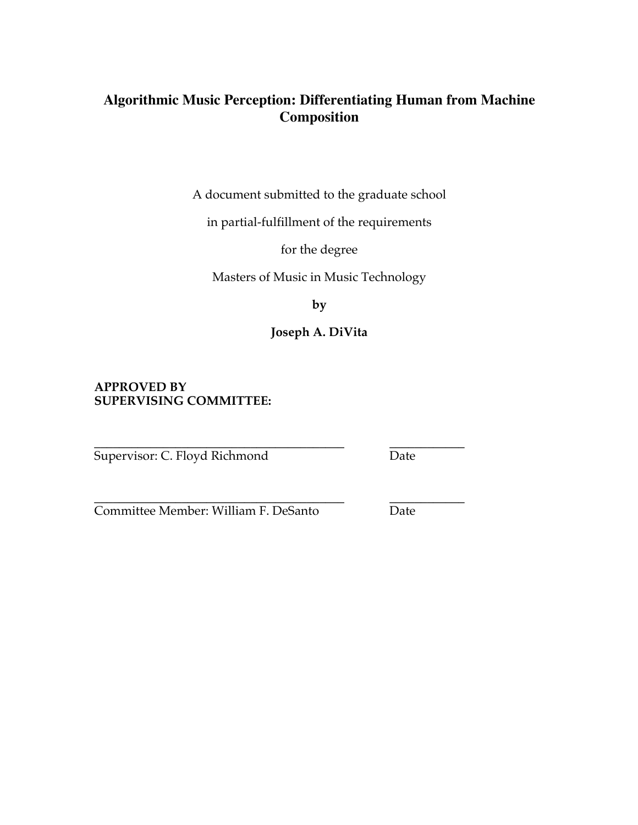# **Algorithmic Music Perception: Differentiating Human from Machine Composition**

A document submitted to the graduate school

in partial-fulfillment of the requirements

for the degree

Masters of Music in Music Technology

**by**

**Joseph A. DiVita**

# **APPROVED BY SUPERVISING COMMITTEE:**

**\_\_\_\_\_\_\_\_\_\_\_\_\_\_\_\_\_\_\_\_\_\_\_\_\_\_\_\_\_\_\_\_\_\_\_\_\_\_\_\_ \_\_\_\_\_\_\_\_\_\_\_\_** Supervisor: C. Floyd Richmond Date

**\_\_\_\_\_\_\_\_\_\_\_\_\_\_\_\_\_\_\_\_\_\_\_\_\_\_\_\_\_\_\_\_\_\_\_\_\_\_\_\_ \_\_\_\_\_\_\_\_\_\_\_\_** Committee Member: William F. DeSanto Date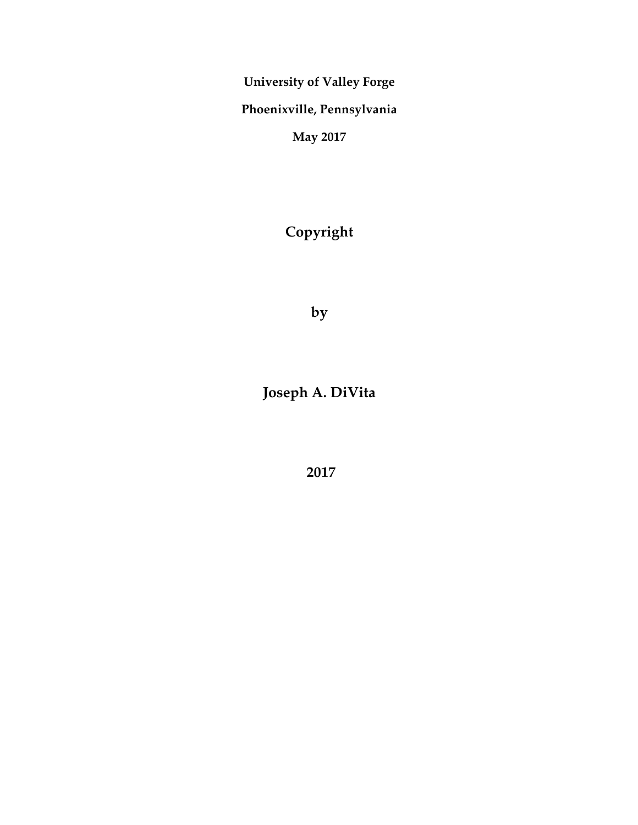**University of Valley Forge Phoenixville, Pennsylvania May 2017**

**Copyright** 

**by** 

**Joseph A. DiVita**

**2017**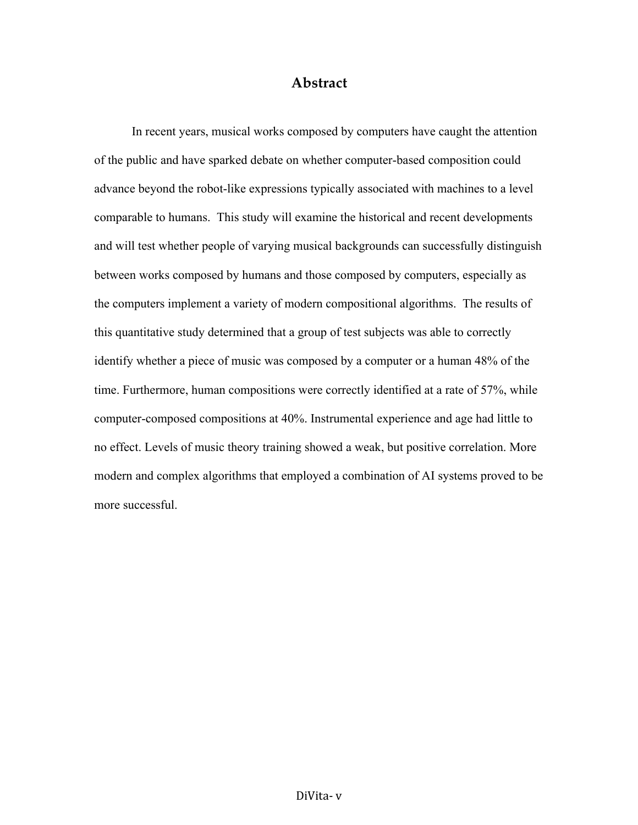# **Abstract**

In recent years, musical works composed by computers have caught the attention of the public and have sparked debate on whether computer-based composition could advance beyond the robot-like expressions typically associated with machines to a level comparable to humans. This study will examine the historical and recent developments and will test whether people of varying musical backgrounds can successfully distinguish between works composed by humans and those composed by computers, especially as the computers implement a variety of modern compositional algorithms. The results of this quantitative study determined that a group of test subjects was able to correctly identify whether a piece of music was composed by a computer or a human 48% of the time. Furthermore, human compositions were correctly identified at a rate of 57%, while computer-composed compositions at 40%. Instrumental experience and age had little to no effect. Levels of music theory training showed a weak, but positive correlation. More modern and complex algorithms that employed a combination of AI systems proved to be more successful.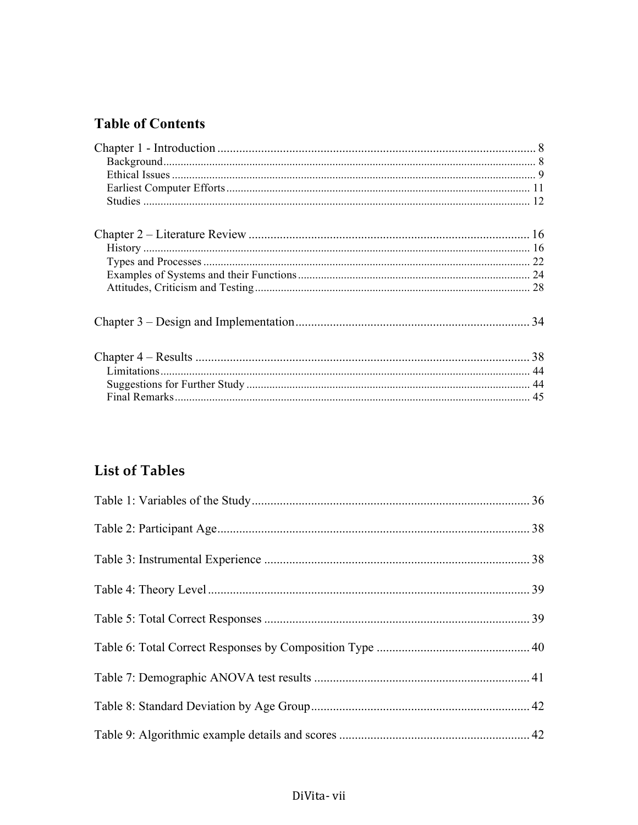# **Table of Contents**

# **List of Tables**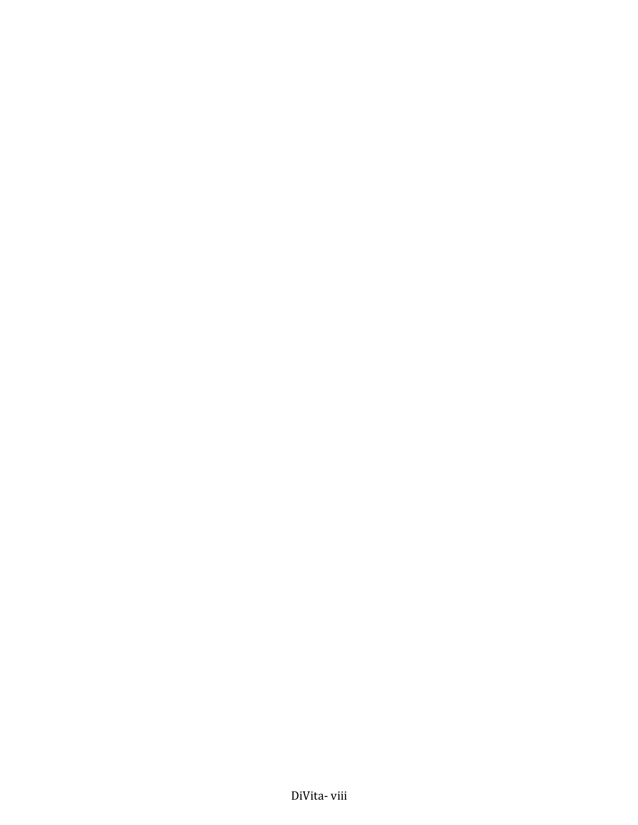DiVita- viii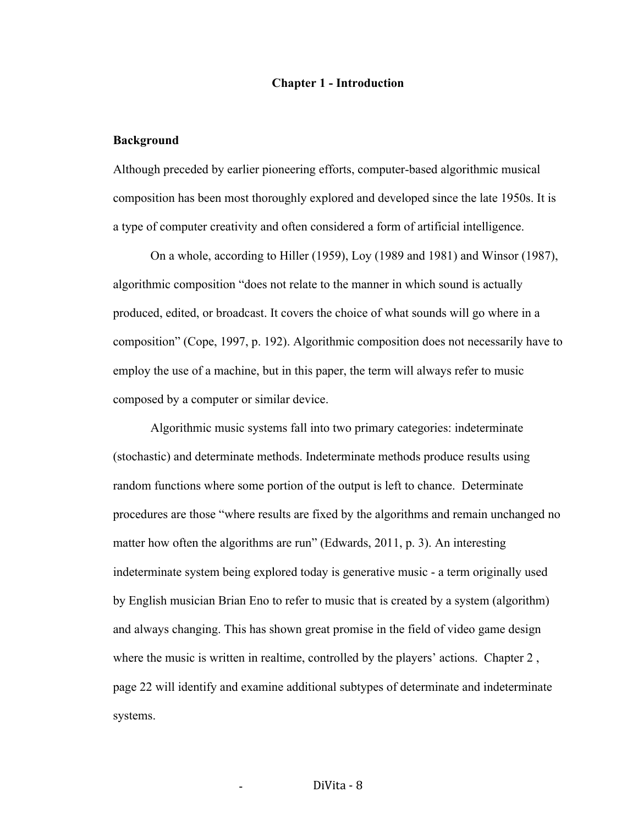#### **Chapter 1 - Introduction**

#### **Background**

Although preceded by earlier pioneering efforts, computer-based algorithmic musical composition has been most thoroughly explored and developed since the late 1950s. It is a type of computer creativity and often considered a form of artificial intelligence.

On a whole, according to Hiller (1959), Loy (1989 and 1981) and Winsor (1987), algorithmic composition "does not relate to the manner in which sound is actually produced, edited, or broadcast. It covers the choice of what sounds will go where in a composition" (Cope, 1997, p. 192). Algorithmic composition does not necessarily have to employ the use of a machine, but in this paper, the term will always refer to music composed by a computer or similar device.

Algorithmic music systems fall into two primary categories: indeterminate (stochastic) and determinate methods. Indeterminate methods produce results using random functions where some portion of the output is left to chance. Determinate procedures are those "where results are fixed by the algorithms and remain unchanged no matter how often the algorithms are run" (Edwards, 2011, p. 3). An interesting indeterminate system being explored today is generative music - a term originally used by English musician Brian Eno to refer to music that is created by a system (algorithm) and always changing. This has shown great promise in the field of video game design where the music is written in realtime, controlled by the players' actions. Chapter 2, page 22 will identify and examine additional subtypes of determinate and indeterminate systems.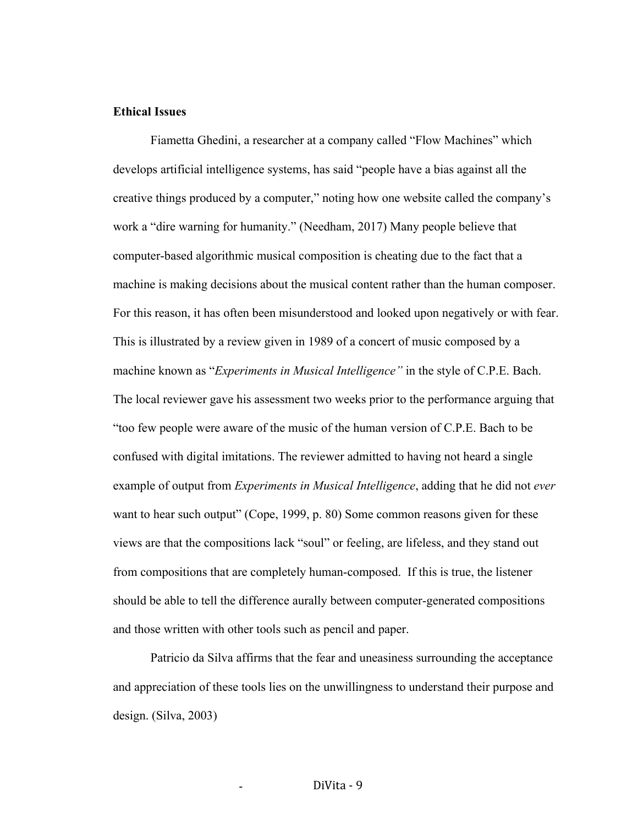# **Ethical Issues**

Fiametta Ghedini, a researcher at a company called "Flow Machines" which develops artificial intelligence systems, has said "people have a bias against all the creative things produced by a computer," noting how one website called the company's work a "dire warning for humanity." (Needham, 2017) Many people believe that computer-based algorithmic musical composition is cheating due to the fact that a machine is making decisions about the musical content rather than the human composer. For this reason, it has often been misunderstood and looked upon negatively or with fear. This is illustrated by a review given in 1989 of a concert of music composed by a machine known as "*Experiments in Musical Intelligence"* in the style of C.P.E. Bach. The local reviewer gave his assessment two weeks prior to the performance arguing that "too few people were aware of the music of the human version of C.P.E. Bach to be confused with digital imitations. The reviewer admitted to having not heard a single example of output from *Experiments in Musical Intelligence*, adding that he did not *ever* want to hear such output" (Cope, 1999, p. 80) Some common reasons given for these views are that the compositions lack "soul" or feeling, are lifeless, and they stand out from compositions that are completely human-composed. If this is true, the listener should be able to tell the difference aurally between computer-generated compositions and those written with other tools such as pencil and paper.

Patricio da Silva affirms that the fear and uneasiness surrounding the acceptance and appreciation of these tools lies on the unwillingness to understand their purpose and design. (Silva, 2003)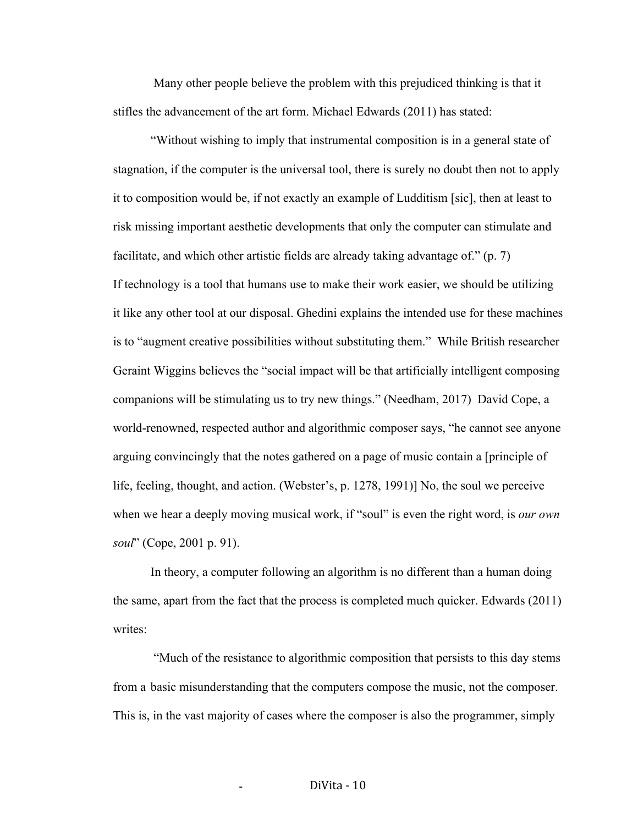Many other people believe the problem with this prejudiced thinking is that it stifles the advancement of the art form. Michael Edwards (2011) has stated:

"Without wishing to imply that instrumental composition is in a general state of stagnation, if the computer is the universal tool, there is surely no doubt then not to apply it to composition would be, if not exactly an example of Ludditism [sic], then at least to risk missing important aesthetic developments that only the computer can stimulate and facilitate, and which other artistic fields are already taking advantage of." (p. 7) If technology is a tool that humans use to make their work easier, we should be utilizing it like any other tool at our disposal. Ghedini explains the intended use for these machines is to "augment creative possibilities without substituting them." While British researcher Geraint Wiggins believes the "social impact will be that artificially intelligent composing companions will be stimulating us to try new things." (Needham, 2017) David Cope, a world-renowned, respected author and algorithmic composer says, "he cannot see anyone arguing convincingly that the notes gathered on a page of music contain a [principle of life, feeling, thought, and action. (Webster's, p. 1278, 1991)] No, the soul we perceive when we hear a deeply moving musical work, if "soul" is even the right word, is *our own soul*" (Cope, 2001 p. 91).

In theory, a computer following an algorithm is no different than a human doing the same, apart from the fact that the process is completed much quicker. Edwards (2011) writes:

"Much of the resistance to algorithmic composition that persists to this day stems from a basic misunderstanding that the computers compose the music, not the composer. This is, in the vast majority of cases where the composer is also the programmer, simply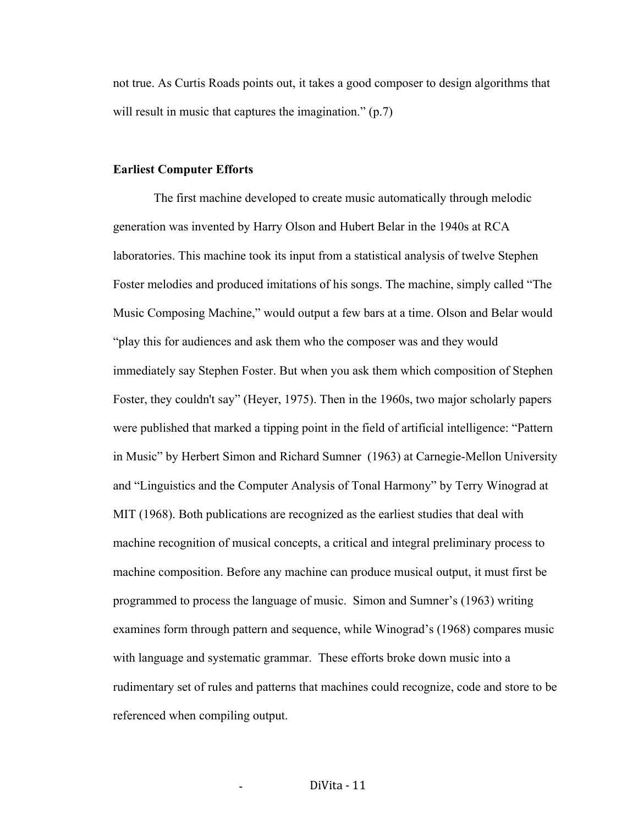not true. As Curtis Roads points out, it takes a good composer to design algorithms that will result in music that captures the imagination." (p.7)

#### **Earliest Computer Efforts**

The first machine developed to create music automatically through melodic generation was invented by Harry Olson and Hubert Belar in the 1940s at RCA laboratories. This machine took its input from a statistical analysis of twelve Stephen Foster melodies and produced imitations of his songs. The machine, simply called "The Music Composing Machine," would output a few bars at a time. Olson and Belar would "play this for audiences and ask them who the composer was and they would immediately say Stephen Foster. But when you ask them which composition of Stephen Foster, they couldn't say" (Heyer, 1975). Then in the 1960s, two major scholarly papers were published that marked a tipping point in the field of artificial intelligence: "Pattern in Music" by Herbert Simon and Richard Sumner (1963) at Carnegie-Mellon University and "Linguistics and the Computer Analysis of Tonal Harmony" by Terry Winograd at MIT (1968). Both publications are recognized as the earliest studies that deal with machine recognition of musical concepts, a critical and integral preliminary process to machine composition. Before any machine can produce musical output, it must first be programmed to process the language of music. Simon and Sumner's (1963) writing examines form through pattern and sequence, while Winograd's (1968) compares music with language and systematic grammar. These efforts broke down music into a rudimentary set of rules and patterns that machines could recognize, code and store to be referenced when compiling output.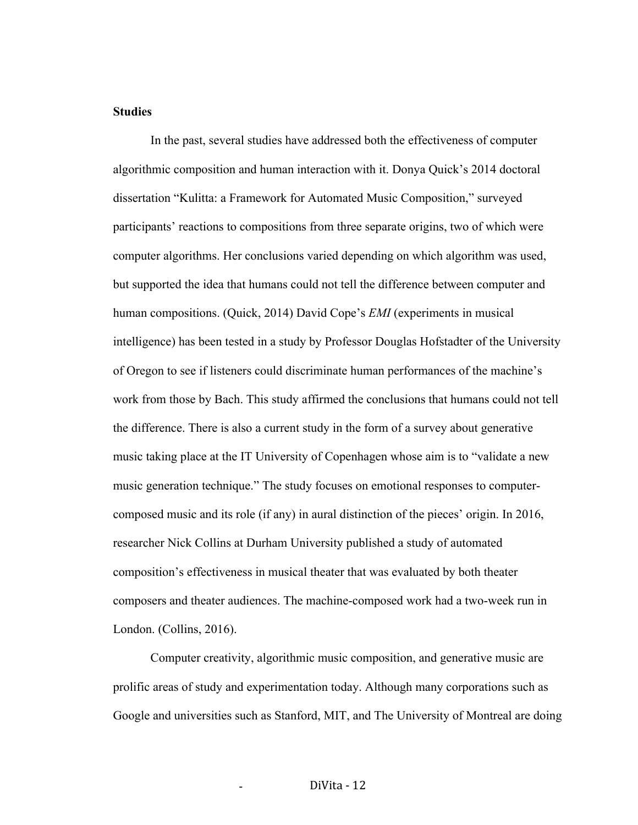# **Studies**

In the past, several studies have addressed both the effectiveness of computer algorithmic composition and human interaction with it. Donya Quick's 2014 doctoral dissertation "Kulitta: a Framework for Automated Music Composition," surveyed participants' reactions to compositions from three separate origins, two of which were computer algorithms. Her conclusions varied depending on which algorithm was used, but supported the idea that humans could not tell the difference between computer and human compositions. (Quick, 2014) David Cope's *EMI* (experiments in musical intelligence) has been tested in a study by Professor Douglas Hofstadter of the University of Oregon to see if listeners could discriminate human performances of the machine's work from those by Bach. This study affirmed the conclusions that humans could not tell the difference. There is also a current study in the form of a survey about generative music taking place at the IT University of Copenhagen whose aim is to "validate a new music generation technique." The study focuses on emotional responses to computercomposed music and its role (if any) in aural distinction of the pieces' origin. In 2016, researcher Nick Collins at Durham University published a study of automated composition's effectiveness in musical theater that was evaluated by both theater composers and theater audiences. The machine-composed work had a two-week run in London. (Collins, 2016).

Computer creativity, algorithmic music composition, and generative music are prolific areas of study and experimentation today. Although many corporations such as Google and universities such as Stanford, MIT, and The University of Montreal are doing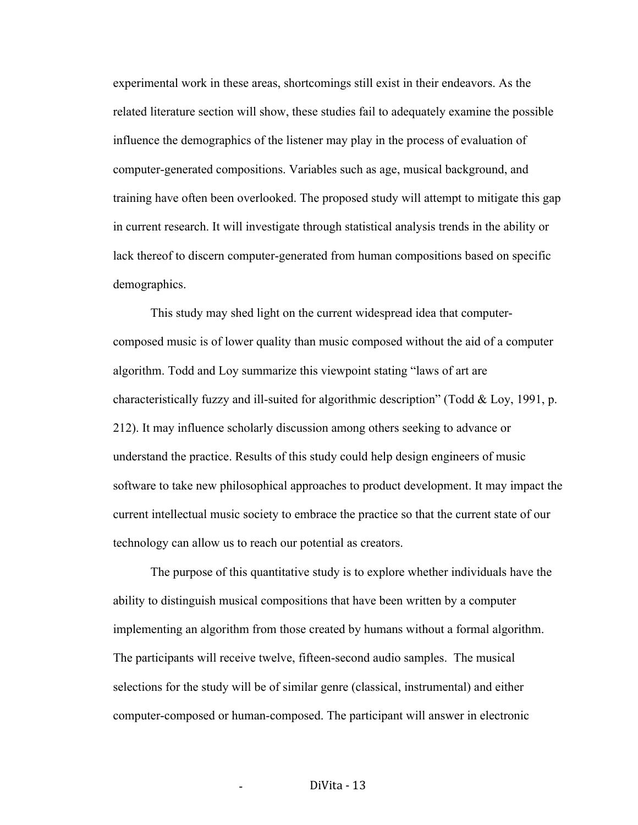experimental work in these areas, shortcomings still exist in their endeavors. As the related literature section will show, these studies fail to adequately examine the possible influence the demographics of the listener may play in the process of evaluation of computer-generated compositions. Variables such as age, musical background, and training have often been overlooked. The proposed study will attempt to mitigate this gap in current research. It will investigate through statistical analysis trends in the ability or lack thereof to discern computer-generated from human compositions based on specific demographics.

This study may shed light on the current widespread idea that computercomposed music is of lower quality than music composed without the aid of a computer algorithm. Todd and Loy summarize this viewpoint stating "laws of art are characteristically fuzzy and ill-suited for algorithmic description" (Todd & Loy, 1991, p. 212). It may influence scholarly discussion among others seeking to advance or understand the practice. Results of this study could help design engineers of music software to take new philosophical approaches to product development. It may impact the current intellectual music society to embrace the practice so that the current state of our technology can allow us to reach our potential as creators.

The purpose of this quantitative study is to explore whether individuals have the ability to distinguish musical compositions that have been written by a computer implementing an algorithm from those created by humans without a formal algorithm. The participants will receive twelve, fifteen-second audio samples. The musical selections for the study will be of similar genre (classical, instrumental) and either computer-composed or human-composed. The participant will answer in electronic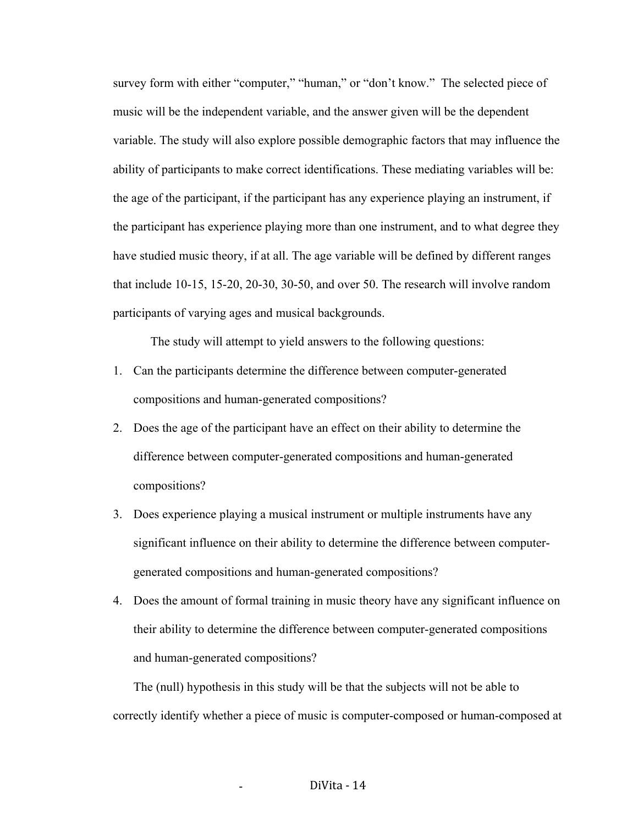survey form with either "computer," "human," or "don't know." The selected piece of music will be the independent variable, and the answer given will be the dependent variable. The study will also explore possible demographic factors that may influence the ability of participants to make correct identifications. These mediating variables will be: the age of the participant, if the participant has any experience playing an instrument, if the participant has experience playing more than one instrument, and to what degree they have studied music theory, if at all. The age variable will be defined by different ranges that include 10-15, 15-20, 20-30, 30-50, and over 50. The research will involve random participants of varying ages and musical backgrounds.

The study will attempt to yield answers to the following questions:

- 1. Can the participants determine the difference between computer-generated compositions and human-generated compositions?
- 2. Does the age of the participant have an effect on their ability to determine the difference between computer-generated compositions and human-generated compositions?
- 3. Does experience playing a musical instrument or multiple instruments have any significant influence on their ability to determine the difference between computergenerated compositions and human-generated compositions?
- 4. Does the amount of formal training in music theory have any significant influence on their ability to determine the difference between computer-generated compositions and human-generated compositions?

The (null) hypothesis in this study will be that the subjects will not be able to correctly identify whether a piece of music is computer-composed or human-composed at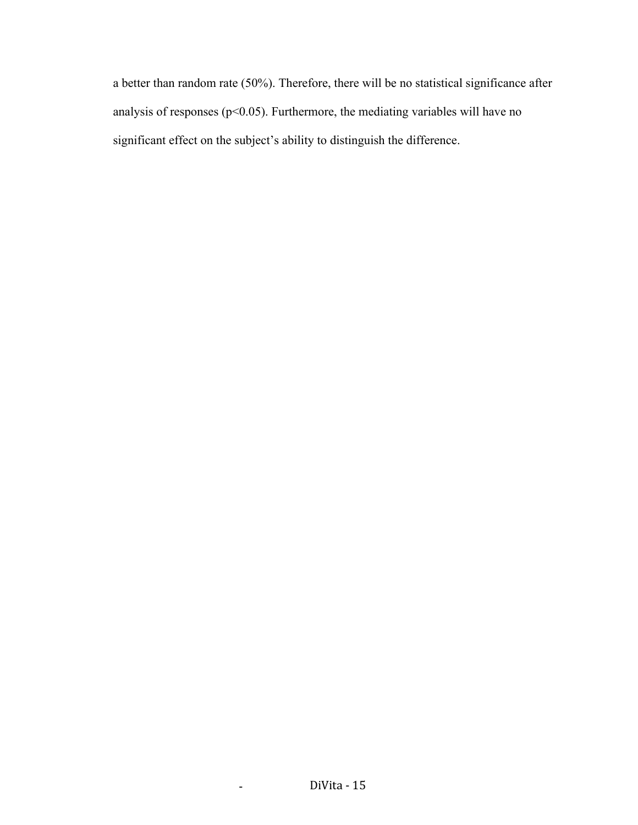a better than random rate (50%). Therefore, there will be no statistical significance after analysis of responses ( $p$ <0.05). Furthermore, the mediating variables will have no significant effect on the subject's ability to distinguish the difference.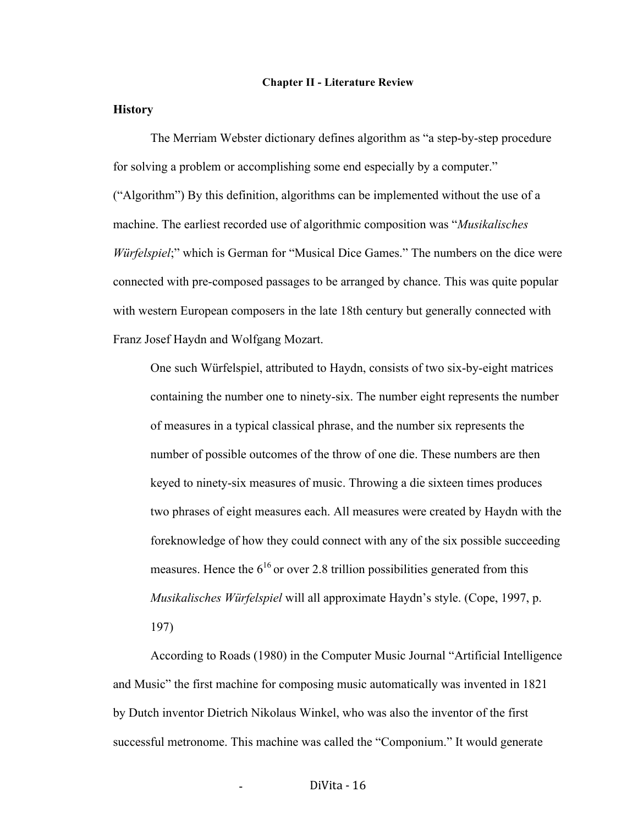#### **Chapter II - Literature Review**

### **History**

The Merriam Webster dictionary defines algorithm as "a step-by-step procedure for solving a problem or accomplishing some end especially by a computer." ("Algorithm") By this definition, algorithms can be implemented without the use of a machine. The earliest recorded use of algorithmic composition was "*Musikalisches Würfelspiel*;" which is German for "Musical Dice Games." The numbers on the dice were connected with pre-composed passages to be arranged by chance. This was quite popular with western European composers in the late 18th century but generally connected with Franz Josef Haydn and Wolfgang Mozart.

One such Würfelspiel, attributed to Haydn, consists of two six-by-eight matrices containing the number one to ninety-six. The number eight represents the number of measures in a typical classical phrase, and the number six represents the number of possible outcomes of the throw of one die. These numbers are then keyed to ninety-six measures of music. Throwing a die sixteen times produces two phrases of eight measures each. All measures were created by Haydn with the foreknowledge of how they could connect with any of the six possible succeeding measures. Hence the  $6^{16}$  or over 2.8 trillion possibilities generated from this *Musikalisches Würfelspiel* will all approximate Haydn's style. (Cope, 1997, p. 197)

According to Roads (1980) in the Computer Music Journal "Artificial Intelligence and Music" the first machine for composing music automatically was invented in 1821 by Dutch inventor Dietrich Nikolaus Winkel, who was also the inventor of the first successful metronome. This machine was called the "Componium." It would generate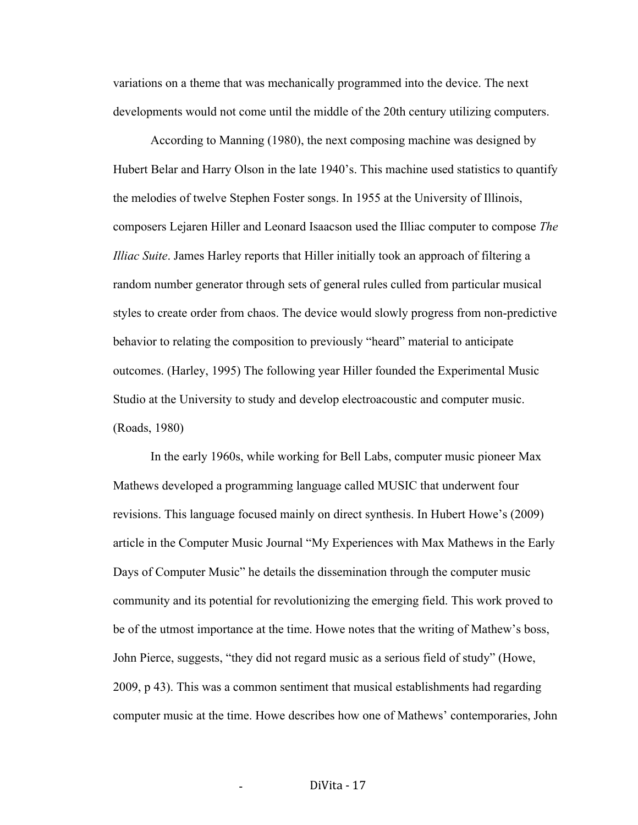variations on a theme that was mechanically programmed into the device. The next developments would not come until the middle of the 20th century utilizing computers.

According to Manning (1980), the next composing machine was designed by Hubert Belar and Harry Olson in the late 1940's. This machine used statistics to quantify the melodies of twelve Stephen Foster songs. In 1955 at the University of Illinois, composers Lejaren Hiller and Leonard Isaacson used the Illiac computer to compose *The Illiac Suite*. James Harley reports that Hiller initially took an approach of filtering a random number generator through sets of general rules culled from particular musical styles to create order from chaos. The device would slowly progress from non-predictive behavior to relating the composition to previously "heard" material to anticipate outcomes. (Harley, 1995) The following year Hiller founded the Experimental Music Studio at the University to study and develop electroacoustic and computer music. (Roads, 1980)

In the early 1960s, while working for Bell Labs, computer music pioneer Max Mathews developed a programming language called MUSIC that underwent four revisions. This language focused mainly on direct synthesis. In Hubert Howe's (2009) article in the Computer Music Journal "My Experiences with Max Mathews in the Early Days of Computer Music" he details the dissemination through the computer music community and its potential for revolutionizing the emerging field. This work proved to be of the utmost importance at the time. Howe notes that the writing of Mathew's boss, John Pierce, suggests, "they did not regard music as a serious field of study" (Howe, 2009, p 43). This was a common sentiment that musical establishments had regarding computer music at the time. Howe describes how one of Mathews' contemporaries, John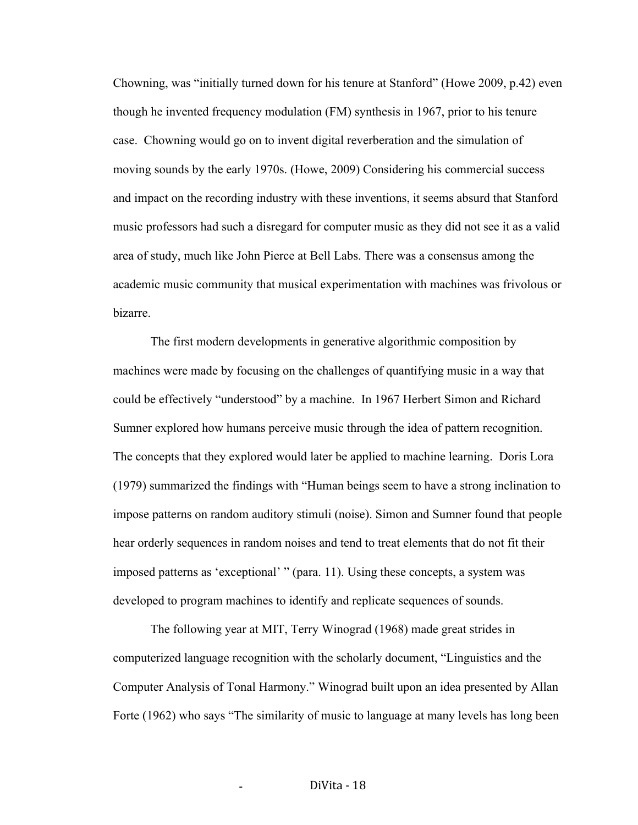Chowning, was "initially turned down for his tenure at Stanford" (Howe 2009, p.42) even though he invented frequency modulation (FM) synthesis in 1967, prior to his tenure case. Chowning would go on to invent digital reverberation and the simulation of moving sounds by the early 1970s. (Howe, 2009) Considering his commercial success and impact on the recording industry with these inventions, it seems absurd that Stanford music professors had such a disregard for computer music as they did not see it as a valid area of study, much like John Pierce at Bell Labs. There was a consensus among the academic music community that musical experimentation with machines was frivolous or bizarre.

The first modern developments in generative algorithmic composition by machines were made by focusing on the challenges of quantifying music in a way that could be effectively "understood" by a machine. In 1967 Herbert Simon and Richard Sumner explored how humans perceive music through the idea of pattern recognition. The concepts that they explored would later be applied to machine learning. Doris Lora (1979) summarized the findings with "Human beings seem to have a strong inclination to impose patterns on random auditory stimuli (noise). Simon and Sumner found that people hear orderly sequences in random noises and tend to treat elements that do not fit their imposed patterns as 'exceptional' " (para. 11). Using these concepts, a system was developed to program machines to identify and replicate sequences of sounds.

The following year at MIT, Terry Winograd (1968) made great strides in computerized language recognition with the scholarly document, "Linguistics and the Computer Analysis of Tonal Harmony." Winograd built upon an idea presented by Allan Forte (1962) who says "The similarity of music to language at many levels has long been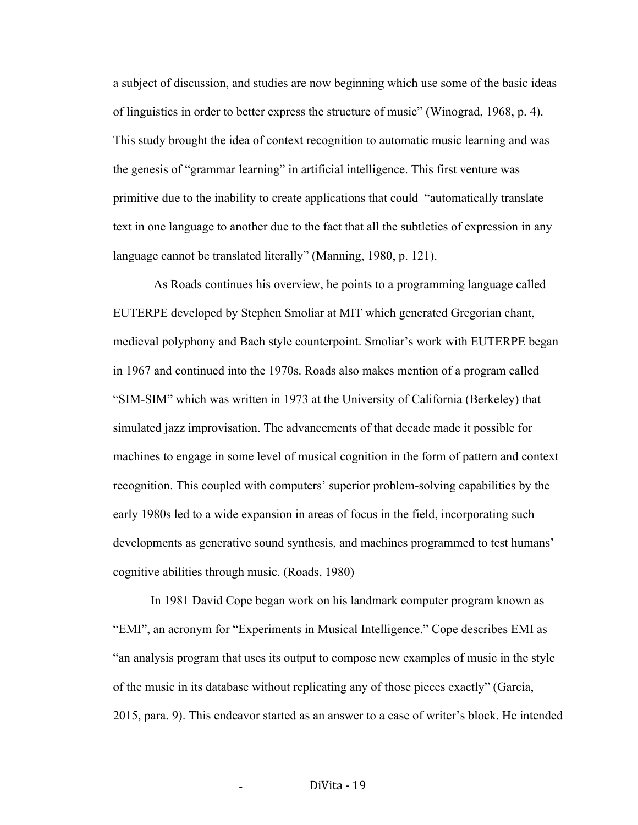a subject of discussion, and studies are now beginning which use some of the basic ideas of linguistics in order to better express the structure of music" (Winograd, 1968, p. 4). This study brought the idea of context recognition to automatic music learning and was the genesis of "grammar learning" in artificial intelligence. This first venture was primitive due to the inability to create applications that could "automatically translate text in one language to another due to the fact that all the subtleties of expression in any language cannot be translated literally" (Manning, 1980, p. 121).

As Roads continues his overview, he points to a programming language called EUTERPE developed by Stephen Smoliar at MIT which generated Gregorian chant, medieval polyphony and Bach style counterpoint. Smoliar's work with EUTERPE began in 1967 and continued into the 1970s. Roads also makes mention of a program called "SIM-SIM" which was written in 1973 at the University of California (Berkeley) that simulated jazz improvisation. The advancements of that decade made it possible for machines to engage in some level of musical cognition in the form of pattern and context recognition. This coupled with computers' superior problem-solving capabilities by the early 1980s led to a wide expansion in areas of focus in the field, incorporating such developments as generative sound synthesis, and machines programmed to test humans' cognitive abilities through music. (Roads, 1980)

In 1981 David Cope began work on his landmark computer program known as "EMI", an acronym for "Experiments in Musical Intelligence." Cope describes EMI as "an analysis program that uses its output to compose new examples of music in the style of the music in its database without replicating any of those pieces exactly" (Garcia, 2015, para. 9). This endeavor started as an answer to a case of writer's block. He intended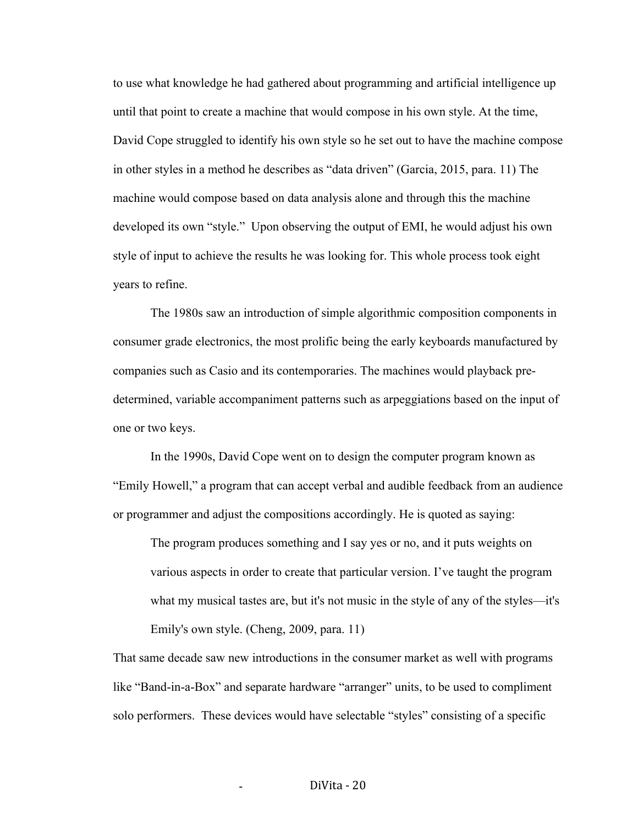to use what knowledge he had gathered about programming and artificial intelligence up until that point to create a machine that would compose in his own style. At the time, David Cope struggled to identify his own style so he set out to have the machine compose in other styles in a method he describes as "data driven" (Garcia, 2015, para. 11) The machine would compose based on data analysis alone and through this the machine developed its own "style." Upon observing the output of EMI, he would adjust his own style of input to achieve the results he was looking for. This whole process took eight years to refine.

The 1980s saw an introduction of simple algorithmic composition components in consumer grade electronics, the most prolific being the early keyboards manufactured by companies such as Casio and its contemporaries. The machines would playback predetermined, variable accompaniment patterns such as arpeggiations based on the input of one or two keys.

In the 1990s, David Cope went on to design the computer program known as "Emily Howell," a program that can accept verbal and audible feedback from an audience or programmer and adjust the compositions accordingly. He is quoted as saying:

The program produces something and I say yes or no, and it puts weights on various aspects in order to create that particular version. I've taught the program what my musical tastes are, but it's not music in the style of any of the styles—it's Emily's own style. (Cheng, 2009, para. 11)

That same decade saw new introductions in the consumer market as well with programs like "Band-in-a-Box" and separate hardware "arranger" units, to be used to compliment solo performers. These devices would have selectable "styles" consisting of a specific

## DiVita - 20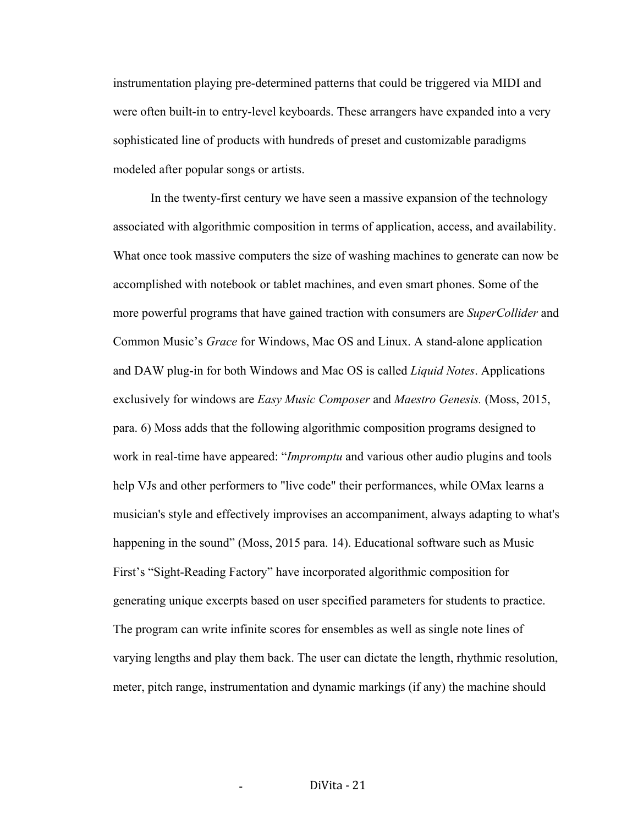instrumentation playing pre-determined patterns that could be triggered via MIDI and were often built-in to entry-level keyboards. These arrangers have expanded into a very sophisticated line of products with hundreds of preset and customizable paradigms modeled after popular songs or artists.

In the twenty-first century we have seen a massive expansion of the technology associated with algorithmic composition in terms of application, access, and availability. What once took massive computers the size of washing machines to generate can now be accomplished with notebook or tablet machines, and even smart phones. Some of the more powerful programs that have gained traction with consumers are *SuperCollider* and Common Music's *Grace* for Windows, Mac OS and Linux. A stand-alone application and DAW plug-in for both Windows and Mac OS is called *Liquid Notes*. Applications exclusively for windows are *Easy Music Composer* and *Maestro Genesis.* (Moss, 2015, para. 6) Moss adds that the following algorithmic composition programs designed to work in real-time have appeared: "*Impromptu* and various other audio plugins and tools help VJs and other performers to "live code" their performances, while OMax learns a musician's style and effectively improvises an accompaniment, always adapting to what's happening in the sound" (Moss, 2015 para. 14). Educational software such as Music First's "Sight-Reading Factory" have incorporated algorithmic composition for generating unique excerpts based on user specified parameters for students to practice. The program can write infinite scores for ensembles as well as single note lines of varying lengths and play them back. The user can dictate the length, rhythmic resolution, meter, pitch range, instrumentation and dynamic markings (if any) the machine should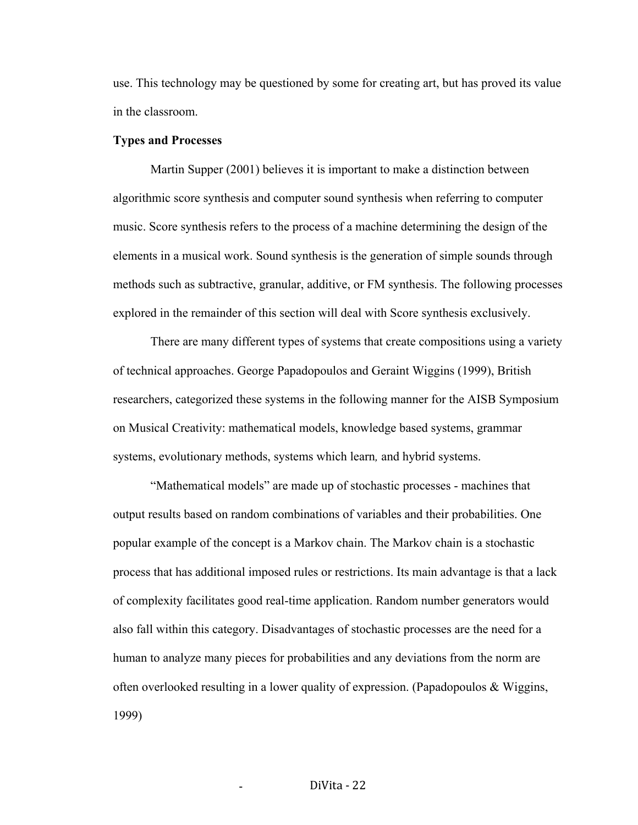use. This technology may be questioned by some for creating art, but has proved its value in the classroom.

#### **Types and Processes**

Martin Supper (2001) believes it is important to make a distinction between algorithmic score synthesis and computer sound synthesis when referring to computer music. Score synthesis refers to the process of a machine determining the design of the elements in a musical work. Sound synthesis is the generation of simple sounds through methods such as subtractive, granular, additive, or FM synthesis. The following processes explored in the remainder of this section will deal with Score synthesis exclusively.

There are many different types of systems that create compositions using a variety of technical approaches. George Papadopoulos and Geraint Wiggins (1999), British researchers, categorized these systems in the following manner for the AISB Symposium on Musical Creativity: mathematical models, knowledge based systems, grammar systems, evolutionary methods, systems which learn*,* and hybrid systems.

"Mathematical models" are made up of stochastic processes - machines that output results based on random combinations of variables and their probabilities. One popular example of the concept is a Markov chain. The Markov chain is a stochastic process that has additional imposed rules or restrictions. Its main advantage is that a lack of complexity facilitates good real-time application. Random number generators would also fall within this category. Disadvantages of stochastic processes are the need for a human to analyze many pieces for probabilities and any deviations from the norm are often overlooked resulting in a lower quality of expression. (Papadopoulos & Wiggins, 1999)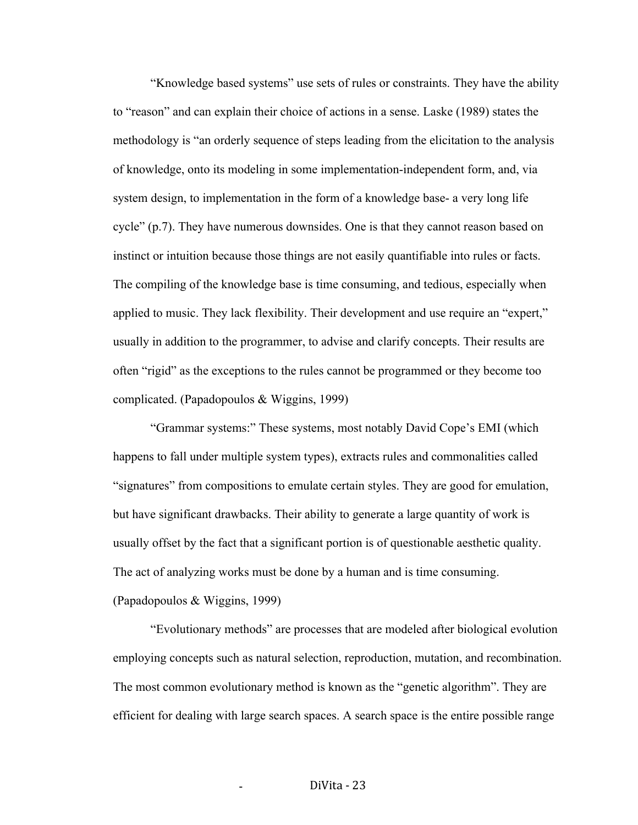"Knowledge based systems" use sets of rules or constraints. They have the ability to "reason" and can explain their choice of actions in a sense. Laske (1989) states the methodology is "an orderly sequence of steps leading from the elicitation to the analysis of knowledge, onto its modeling in some implementation-independent form, and, via system design, to implementation in the form of a knowledge base- a very long life cycle" (p.7). They have numerous downsides. One is that they cannot reason based on instinct or intuition because those things are not easily quantifiable into rules or facts. The compiling of the knowledge base is time consuming, and tedious, especially when applied to music. They lack flexibility. Their development and use require an "expert," usually in addition to the programmer, to advise and clarify concepts. Their results are often "rigid" as the exceptions to the rules cannot be programmed or they become too complicated. (Papadopoulos & Wiggins, 1999)

"Grammar systems:" These systems, most notably David Cope's EMI (which happens to fall under multiple system types), extracts rules and commonalities called "signatures" from compositions to emulate certain styles. They are good for emulation, but have significant drawbacks. Their ability to generate a large quantity of work is usually offset by the fact that a significant portion is of questionable aesthetic quality. The act of analyzing works must be done by a human and is time consuming. (Papadopoulos & Wiggins, 1999)

"Evolutionary methods" are processes that are modeled after biological evolution employing concepts such as natural selection, reproduction, mutation, and recombination. The most common evolutionary method is known as the "genetic algorithm". They are efficient for dealing with large search spaces. A search space is the entire possible range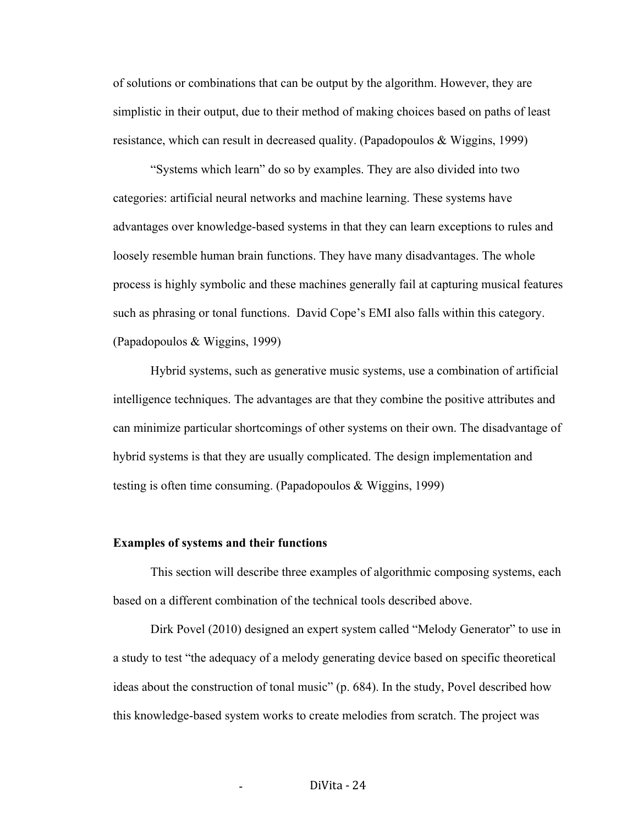of solutions or combinations that can be output by the algorithm. However, they are simplistic in their output, due to their method of making choices based on paths of least resistance, which can result in decreased quality. (Papadopoulos & Wiggins, 1999)

"Systems which learn" do so by examples. They are also divided into two categories: artificial neural networks and machine learning. These systems have advantages over knowledge-based systems in that they can learn exceptions to rules and loosely resemble human brain functions. They have many disadvantages. The whole process is highly symbolic and these machines generally fail at capturing musical features such as phrasing or tonal functions. David Cope's EMI also falls within this category. (Papadopoulos & Wiggins, 1999)

Hybrid systems, such as generative music systems, use a combination of artificial intelligence techniques. The advantages are that they combine the positive attributes and can minimize particular shortcomings of other systems on their own. The disadvantage of hybrid systems is that they are usually complicated. The design implementation and testing is often time consuming. (Papadopoulos & Wiggins, 1999)

#### **Examples of systems and their functions**

This section will describe three examples of algorithmic composing systems, each based on a different combination of the technical tools described above.

Dirk Povel (2010) designed an expert system called "Melody Generator" to use in a study to test "the adequacy of a melody generating device based on specific theoretical ideas about the construction of tonal music" (p. 684). In the study, Povel described how this knowledge-based system works to create melodies from scratch. The project was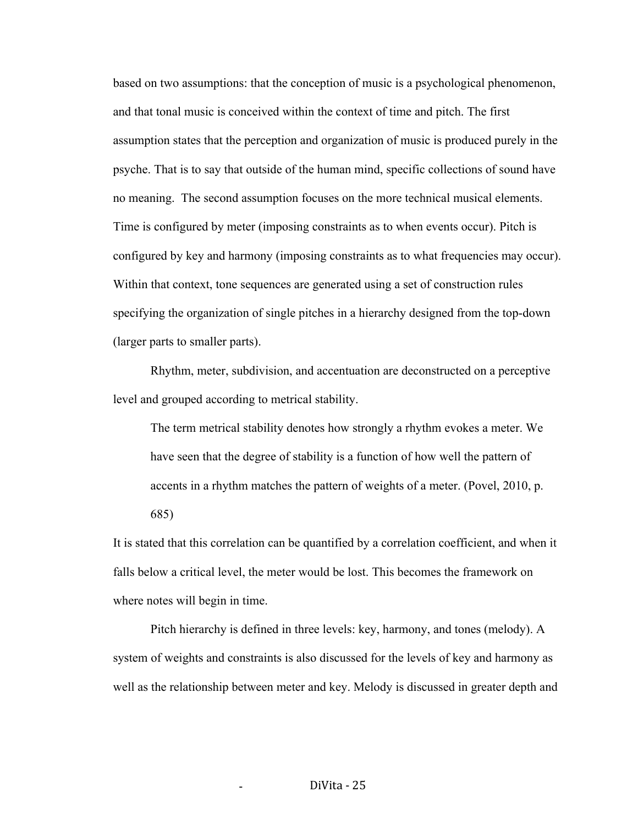based on two assumptions: that the conception of music is a psychological phenomenon, and that tonal music is conceived within the context of time and pitch. The first assumption states that the perception and organization of music is produced purely in the psyche. That is to say that outside of the human mind, specific collections of sound have no meaning. The second assumption focuses on the more technical musical elements. Time is configured by meter (imposing constraints as to when events occur). Pitch is configured by key and harmony (imposing constraints as to what frequencies may occur). Within that context, tone sequences are generated using a set of construction rules specifying the organization of single pitches in a hierarchy designed from the top-down (larger parts to smaller parts).

Rhythm, meter, subdivision, and accentuation are deconstructed on a perceptive level and grouped according to metrical stability.

The term metrical stability denotes how strongly a rhythm evokes a meter. We have seen that the degree of stability is a function of how well the pattern of accents in a rhythm matches the pattern of weights of a meter. (Povel, 2010, p. 685)

It is stated that this correlation can be quantified by a correlation coefficient, and when it falls below a critical level, the meter would be lost. This becomes the framework on where notes will begin in time.

Pitch hierarchy is defined in three levels: key, harmony, and tones (melody). A system of weights and constraints is also discussed for the levels of key and harmony as well as the relationship between meter and key. Melody is discussed in greater depth and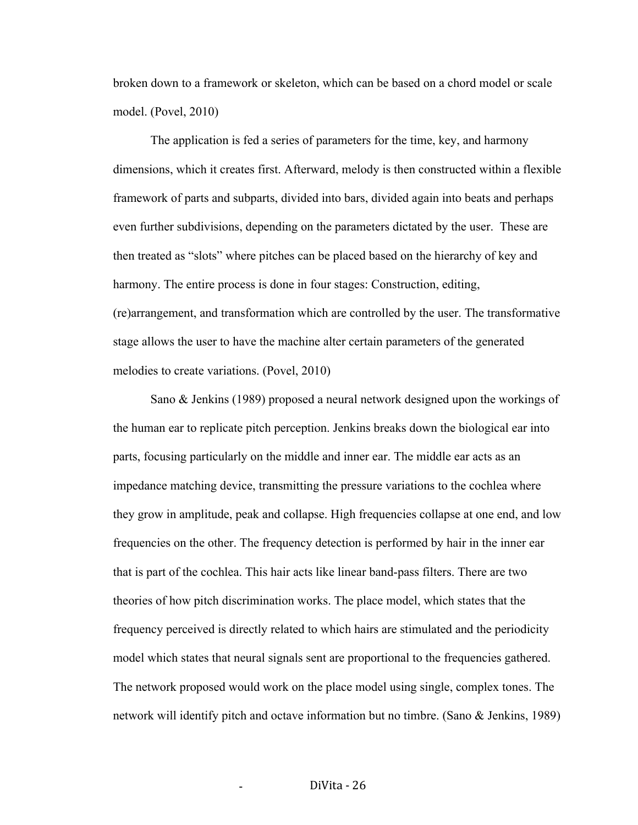broken down to a framework or skeleton, which can be based on a chord model or scale model. (Povel, 2010)

The application is fed a series of parameters for the time, key, and harmony dimensions, which it creates first. Afterward, melody is then constructed within a flexible framework of parts and subparts, divided into bars, divided again into beats and perhaps even further subdivisions, depending on the parameters dictated by the user. These are then treated as "slots" where pitches can be placed based on the hierarchy of key and harmony. The entire process is done in four stages: Construction, editing, (re)arrangement, and transformation which are controlled by the user. The transformative stage allows the user to have the machine alter certain parameters of the generated melodies to create variations. (Povel, 2010)

Sano & Jenkins (1989) proposed a neural network designed upon the workings of the human ear to replicate pitch perception. Jenkins breaks down the biological ear into parts, focusing particularly on the middle and inner ear. The middle ear acts as an impedance matching device, transmitting the pressure variations to the cochlea where they grow in amplitude, peak and collapse. High frequencies collapse at one end, and low frequencies on the other. The frequency detection is performed by hair in the inner ear that is part of the cochlea. This hair acts like linear band-pass filters. There are two theories of how pitch discrimination works. The place model, which states that the frequency perceived is directly related to which hairs are stimulated and the periodicity model which states that neural signals sent are proportional to the frequencies gathered. The network proposed would work on the place model using single, complex tones. The network will identify pitch and octave information but no timbre. (Sano & Jenkins, 1989)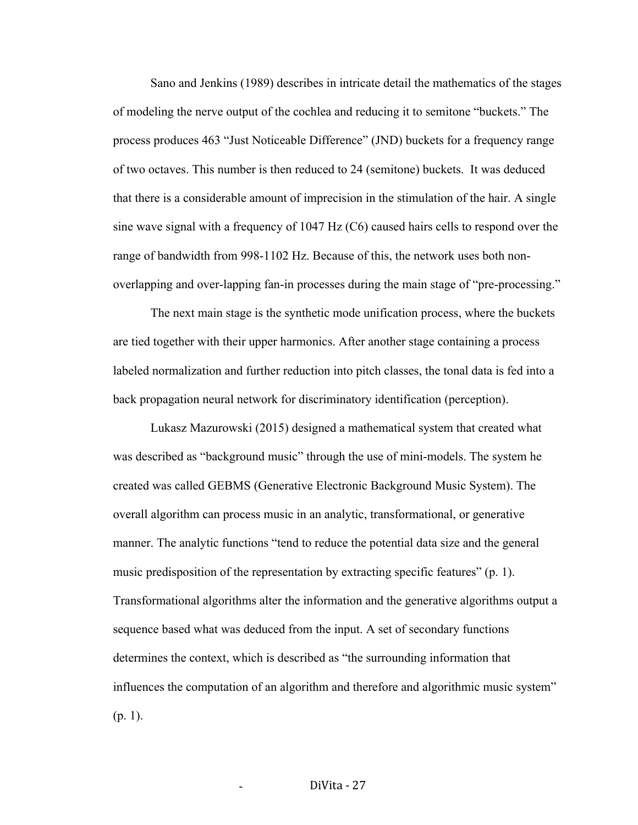Sano and Jenkins (1989) describes in intricate detail the mathematics of the stages of modeling the nerve output of the cochlea and reducing it to semitone "buckets." The process produces 463 "Just Noticeable Difference" (JND) buckets for a frequency range of two octaves. This number is then reduced to 24 (semitone) buckets. It was deduced that there is a considerable amount of imprecision in the stimulation of the hair. A single sine wave signal with a frequency of 1047 Hz (C6) caused hairs cells to respond over the range of bandwidth from 998-1102 Hz. Because of this, the network uses both nonoverlapping and over-lapping fan-in processes during the main stage of "pre-processing."

The next main stage is the synthetic mode unification process, where the buckets are tied together with their upper harmonics. After another stage containing a process labeled normalization and further reduction into pitch classes, the tonal data is fed into a back propagation neural network for discriminatory identification (perception).

Lukasz Mazurowski (2015) designed a mathematical system that created what was described as "background music" through the use of mini-models. The system he created was called GEBMS (Generative Electronic Background Music System). The overall algorithm can process music in an analytic, transformational, or generative manner. The analytic functions "tend to reduce the potential data size and the general music predisposition of the representation by extracting specific features" (p. 1). Transformational algorithms alter the information and the generative algorithms output a sequence based what was deduced from the input. A set of secondary functions determines the context, which is described as "the surrounding information that influences the computation of an algorithm and therefore and algorithmic music system" (p. 1).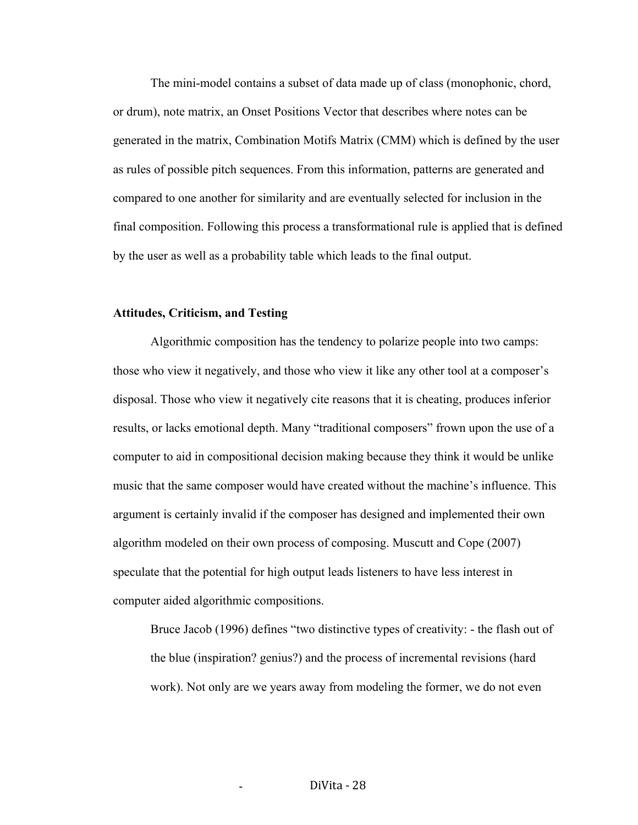The mini-model contains a subset of data made up of class (monophonic, chord, or drum), note matrix, an Onset Positions Vector that describes where notes can be generated in the matrix, Combination Motifs Matrix (CMM) which is defined by the user as rules of possible pitch sequences. From this information, patterns are generated and compared to one another for similarity and are eventually selected for inclusion in the final composition. Following this process a transformational rule is applied that is defined by the user as well as a probability table which leads to the final output.

#### **Attitudes, Criticism, and Testing**

Algorithmic composition has the tendency to polarize people into two camps: those who view it negatively, and those who view it like any other tool at a composer's disposal. Those who view it negatively cite reasons that it is cheating, produces inferior results, or lacks emotional depth. Many "traditional composers" frown upon the use of a computer to aid in compositional decision making because they think it would be unlike music that the same composer would have created without the machine's influence. This argument is certainly invalid if the composer has designed and implemented their own algorithm modeled on their own process of composing. Muscutt and Cope (2007) speculate that the potential for high output leads listeners to have less interest in computer aided algorithmic compositions.

Bruce Jacob (1996) defines "two distinctive types of creativity: - the flash out of the blue (inspiration? genius?) and the process of incremental revisions (hard work). Not only are we years away from modeling the former, we do not even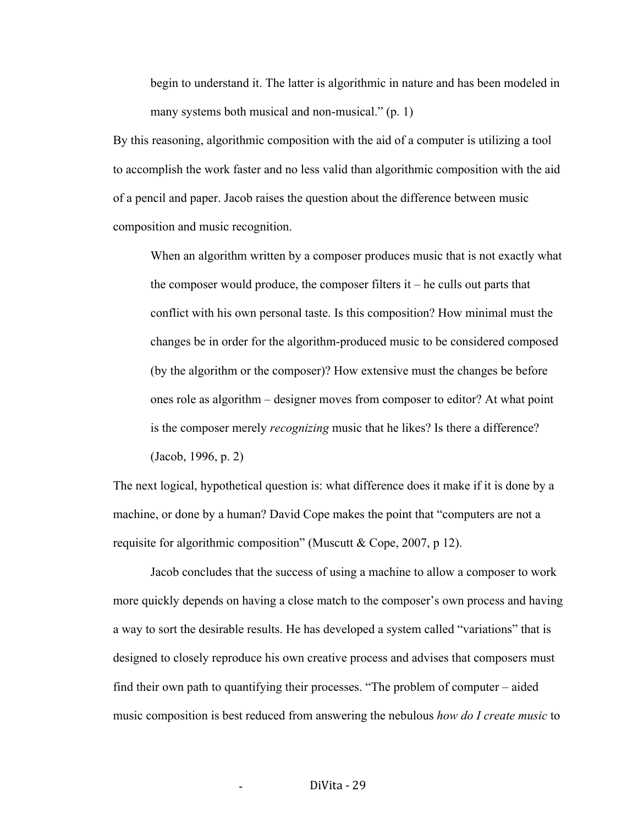begin to understand it. The latter is algorithmic in nature and has been modeled in many systems both musical and non-musical." (p. 1)

By this reasoning, algorithmic composition with the aid of a computer is utilizing a tool to accomplish the work faster and no less valid than algorithmic composition with the aid of a pencil and paper. Jacob raises the question about the difference between music composition and music recognition.

When an algorithm written by a composer produces music that is not exactly what the composer would produce, the composer filters it – he culls out parts that conflict with his own personal taste. Is this composition? How minimal must the changes be in order for the algorithm-produced music to be considered composed (by the algorithm or the composer)? How extensive must the changes be before ones role as algorithm – designer moves from composer to editor? At what point is the composer merely *recognizing* music that he likes? Is there a difference? (Jacob, 1996, p. 2)

The next logical, hypothetical question is: what difference does it make if it is done by a machine, or done by a human? David Cope makes the point that "computers are not a requisite for algorithmic composition" (Muscutt & Cope, 2007, p 12).

Jacob concludes that the success of using a machine to allow a composer to work more quickly depends on having a close match to the composer's own process and having a way to sort the desirable results. He has developed a system called "variations" that is designed to closely reproduce his own creative process and advises that composers must find their own path to quantifying their processes. "The problem of computer – aided music composition is best reduced from answering the nebulous *how do I create music* to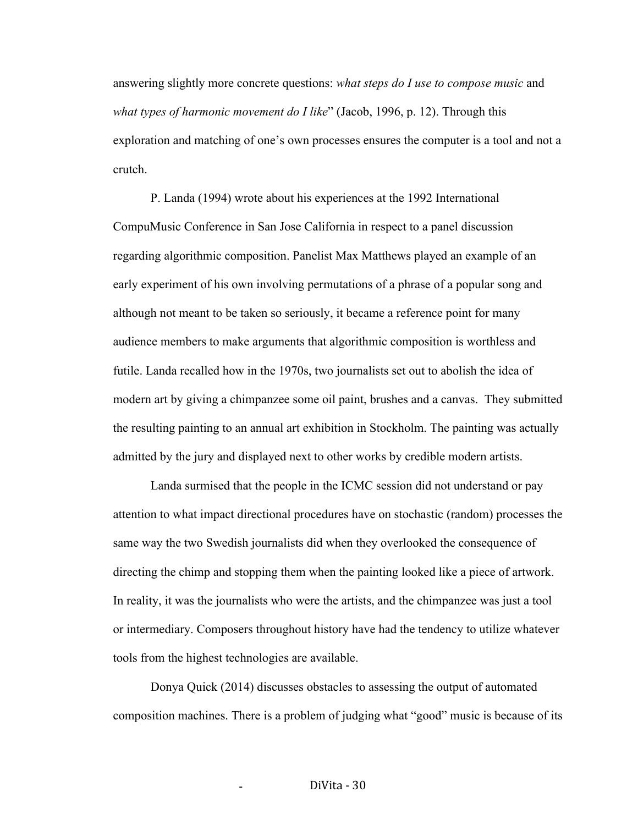answering slightly more concrete questions: *what steps do I use to compose music* and *what types of harmonic movement do I like*" (Jacob, 1996, p. 12). Through this exploration and matching of one's own processes ensures the computer is a tool and not a crutch.

P. Landa (1994) wrote about his experiences at the 1992 International CompuMusic Conference in San Jose California in respect to a panel discussion regarding algorithmic composition. Panelist Max Matthews played an example of an early experiment of his own involving permutations of a phrase of a popular song and although not meant to be taken so seriously, it became a reference point for many audience members to make arguments that algorithmic composition is worthless and futile. Landa recalled how in the 1970s, two journalists set out to abolish the idea of modern art by giving a chimpanzee some oil paint, brushes and a canvas. They submitted the resulting painting to an annual art exhibition in Stockholm. The painting was actually admitted by the jury and displayed next to other works by credible modern artists.

Landa surmised that the people in the ICMC session did not understand or pay attention to what impact directional procedures have on stochastic (random) processes the same way the two Swedish journalists did when they overlooked the consequence of directing the chimp and stopping them when the painting looked like a piece of artwork. In reality, it was the journalists who were the artists, and the chimpanzee was just a tool or intermediary. Composers throughout history have had the tendency to utilize whatever tools from the highest technologies are available.

Donya Quick (2014) discusses obstacles to assessing the output of automated composition machines. There is a problem of judging what "good" music is because of its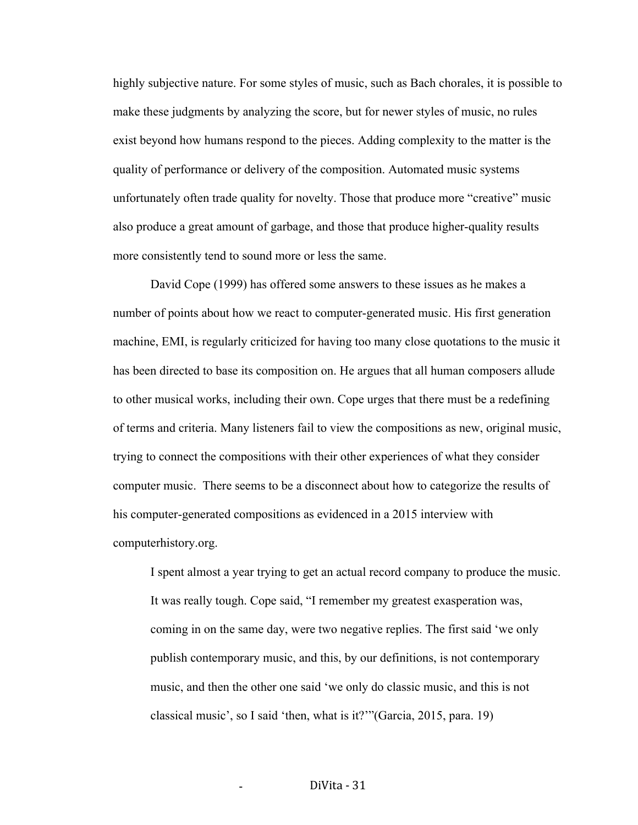highly subjective nature. For some styles of music, such as Bach chorales, it is possible to make these judgments by analyzing the score, but for newer styles of music, no rules exist beyond how humans respond to the pieces. Adding complexity to the matter is the quality of performance or delivery of the composition. Automated music systems unfortunately often trade quality for novelty. Those that produce more "creative" music also produce a great amount of garbage, and those that produce higher-quality results more consistently tend to sound more or less the same.

David Cope (1999) has offered some answers to these issues as he makes a number of points about how we react to computer-generated music. His first generation machine, EMI, is regularly criticized for having too many close quotations to the music it has been directed to base its composition on. He argues that all human composers allude to other musical works, including their own. Cope urges that there must be a redefining of terms and criteria. Many listeners fail to view the compositions as new, original music, trying to connect the compositions with their other experiences of what they consider computer music. There seems to be a disconnect about how to categorize the results of his computer-generated compositions as evidenced in a 2015 interview with computerhistory.org.

I spent almost a year trying to get an actual record company to produce the music. It was really tough. Cope said, "I remember my greatest exasperation was, coming in on the same day, were two negative replies. The first said 'we only publish contemporary music, and this, by our definitions, is not contemporary music, and then the other one said 'we only do classic music, and this is not classical music', so I said 'then, what is it?'"(Garcia, 2015, para. 19)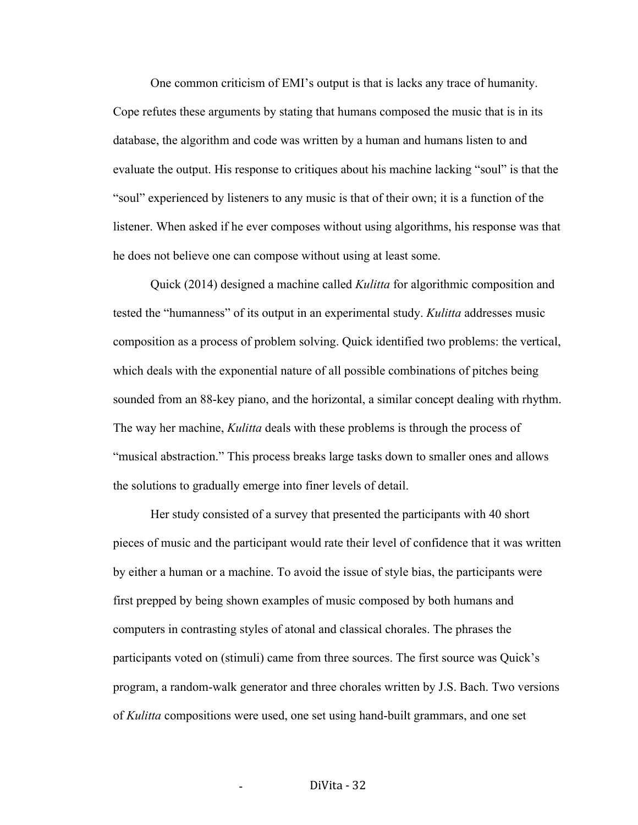One common criticism of EMI's output is that is lacks any trace of humanity. Cope refutes these arguments by stating that humans composed the music that is in its database, the algorithm and code was written by a human and humans listen to and evaluate the output. His response to critiques about his machine lacking "soul" is that the "soul" experienced by listeners to any music is that of their own; it is a function of the listener. When asked if he ever composes without using algorithms, his response was that he does not believe one can compose without using at least some.

Quick (2014) designed a machine called *Kulitta* for algorithmic composition and tested the "humanness" of its output in an experimental study. *Kulitta* addresses music composition as a process of problem solving. Quick identified two problems: the vertical, which deals with the exponential nature of all possible combinations of pitches being sounded from an 88-key piano, and the horizontal, a similar concept dealing with rhythm. The way her machine, *Kulitta* deals with these problems is through the process of "musical abstraction." This process breaks large tasks down to smaller ones and allows the solutions to gradually emerge into finer levels of detail.

Her study consisted of a survey that presented the participants with 40 short pieces of music and the participant would rate their level of confidence that it was written by either a human or a machine. To avoid the issue of style bias, the participants were first prepped by being shown examples of music composed by both humans and computers in contrasting styles of atonal and classical chorales. The phrases the participants voted on (stimuli) came from three sources. The first source was Quick's program, a random-walk generator and three chorales written by J.S. Bach. Two versions of *Kulitta* compositions were used, one set using hand-built grammars, and one set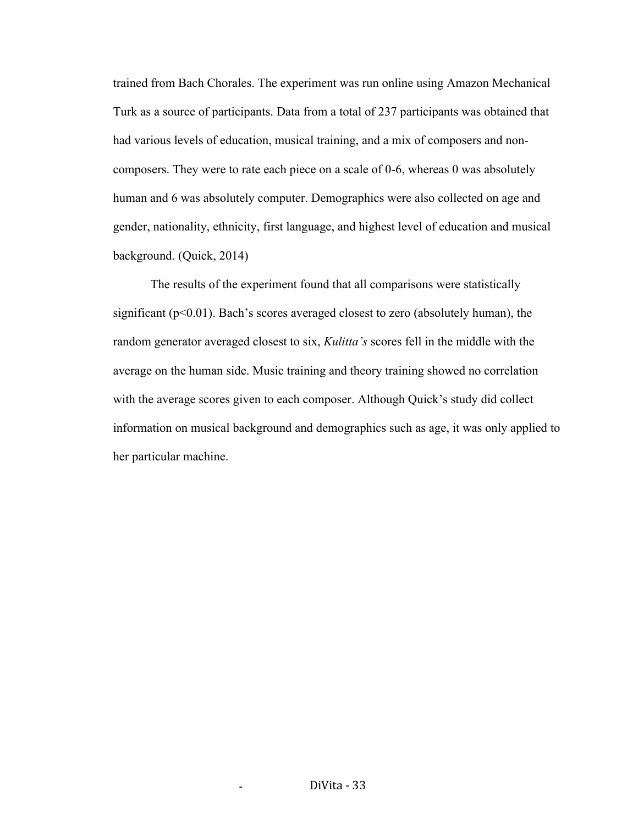trained from Bach Chorales. The experiment was run online using Amazon Mechanical Turk as a source of participants. Data from a total of 237 participants was obtained that had various levels of education, musical training, and a mix of composers and noncomposers. They were to rate each piece on a scale of 0-6, whereas 0 was absolutely human and 6 was absolutely computer. Demographics were also collected on age and gender, nationality, ethnicity, first language, and highest level of education and musical background. (Quick, 2014)

The results of the experiment found that all comparisons were statistically significant ( $p<0.01$ ). Bach's scores averaged closest to zero (absolutely human), the random generator averaged closest to six, *Kulitta's* scores fell in the middle with the average on the human side. Music training and theory training showed no correlation with the average scores given to each composer. Although Quick's study did collect information on musical background and demographics such as age, it was only applied to her particular machine.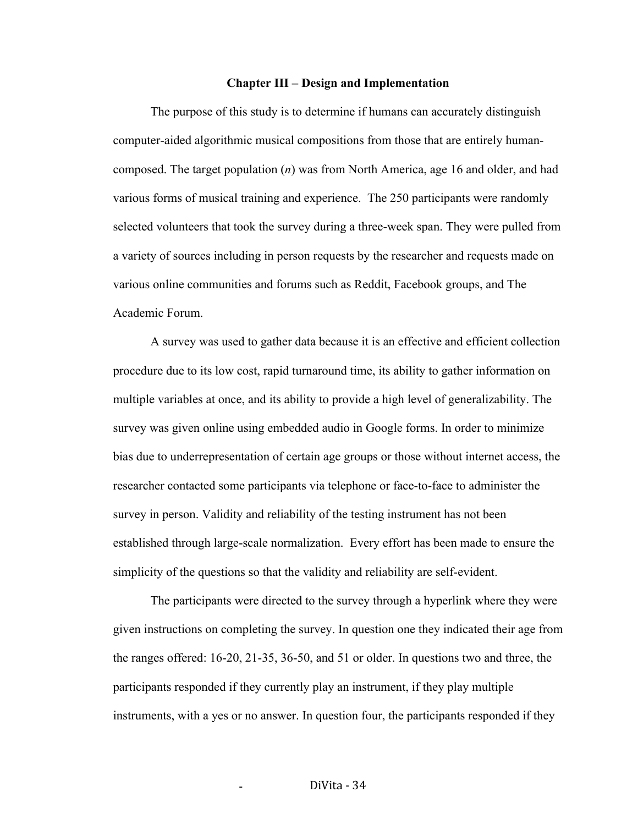#### **Chapter III – Design and Implementation**

The purpose of this study is to determine if humans can accurately distinguish computer-aided algorithmic musical compositions from those that are entirely humancomposed. The target population (*n*) was from North America, age 16 and older, and had various forms of musical training and experience. The 250 participants were randomly selected volunteers that took the survey during a three-week span. They were pulled from a variety of sources including in person requests by the researcher and requests made on various online communities and forums such as Reddit, Facebook groups, and The Academic Forum.

A survey was used to gather data because it is an effective and efficient collection procedure due to its low cost, rapid turnaround time, its ability to gather information on multiple variables at once, and its ability to provide a high level of generalizability. The survey was given online using embedded audio in Google forms. In order to minimize bias due to underrepresentation of certain age groups or those without internet access, the researcher contacted some participants via telephone or face-to-face to administer the survey in person. Validity and reliability of the testing instrument has not been established through large-scale normalization. Every effort has been made to ensure the simplicity of the questions so that the validity and reliability are self-evident.

The participants were directed to the survey through a hyperlink where they were given instructions on completing the survey. In question one they indicated their age from the ranges offered: 16-20, 21-35, 36-50, and 51 or older. In questions two and three, the participants responded if they currently play an instrument, if they play multiple instruments, with a yes or no answer. In question four, the participants responded if they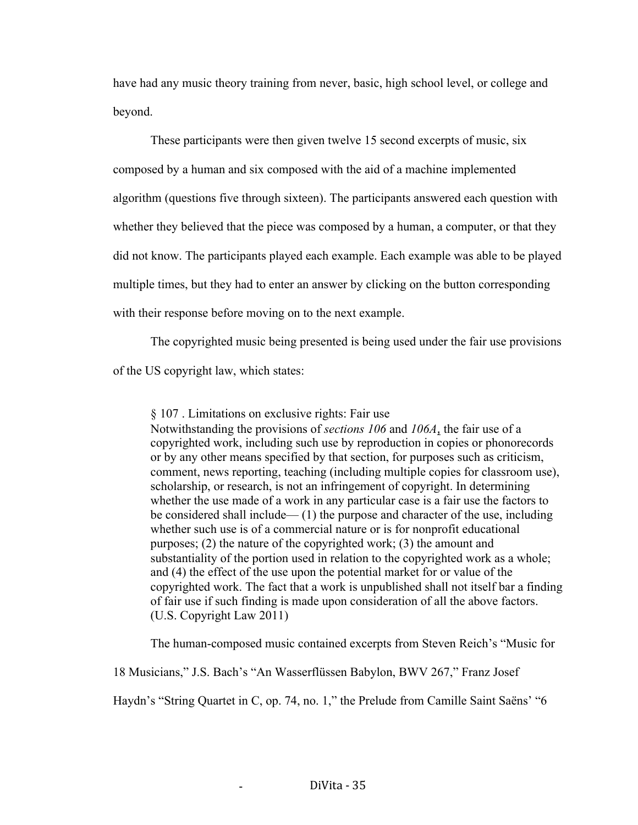have had any music theory training from never, basic, high school level, or college and beyond.

These participants were then given twelve 15 second excerpts of music, six composed by a human and six composed with the aid of a machine implemented algorithm (questions five through sixteen). The participants answered each question with whether they believed that the piece was composed by a human, a computer, or that they did not know. The participants played each example. Each example was able to be played multiple times, but they had to enter an answer by clicking on the button corresponding with their response before moving on to the next example.

The copyrighted music being presented is being used under the fair use provisions of the US copyright law, which states:

§ 107 . Limitations on exclusive rights: Fair use Notwithstanding the provisions of *sections 106* and *106A*, the fair use of a copyrighted work, including such use by reproduction in copies or phonorecords or by any other means specified by that section, for purposes such as criticism, comment, news reporting, teaching (including multiple copies for classroom use), scholarship, or research, is not an infringement of copyright. In determining whether the use made of a work in any particular case is a fair use the factors to be considered shall include— (1) the purpose and character of the use, including whether such use is of a commercial nature or is for nonprofit educational purposes; (2) the nature of the copyrighted work; (3) the amount and substantiality of the portion used in relation to the copyrighted work as a whole; and (4) the effect of the use upon the potential market for or value of the copyrighted work. The fact that a work is unpublished shall not itself bar a finding of fair use if such finding is made upon consideration of all the above factors. (U.S. Copyright Law 2011)

The human-composed music contained excerpts from Steven Reich's "Music for

18 Musicians," J.S. Bach's "An Wasserflüssen Babylon, BWV 267," Franz Josef

Haydn's "String Quartet in C, op. 74, no. 1," the Prelude from Camille Saint Saëns' "6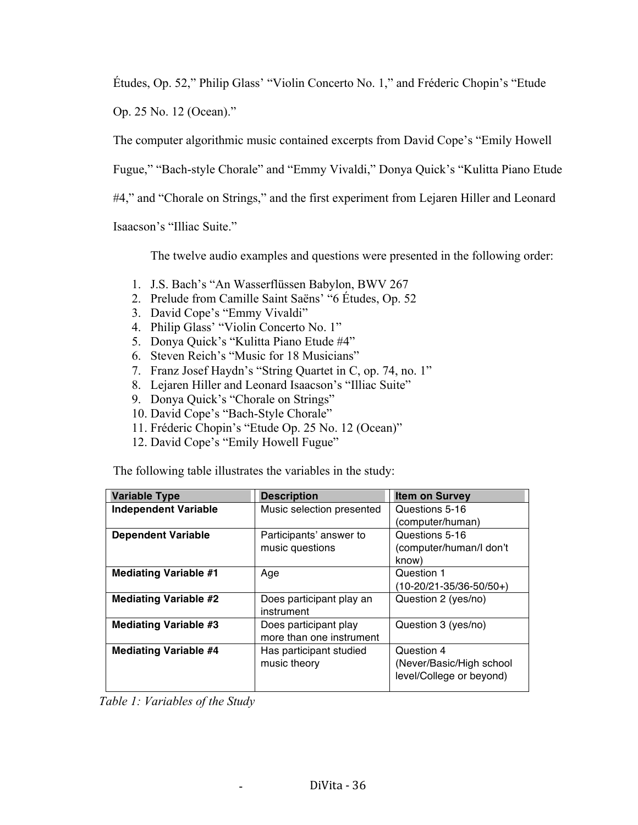Études, Op. 52," Philip Glass' "Violin Concerto No. 1," and Fréderic Chopin's "Etude

Op. 25 No. 12 (Ocean)."

The computer algorithmic music contained excerpts from David Cope's "Emily Howell

Fugue," "Bach-style Chorale" and "Emmy Vivaldi," Donya Quick's "Kulitta Piano Etude

#4," and "Chorale on Strings," and the first experiment from Lejaren Hiller and Leonard

Isaacson's "Illiac Suite."

The twelve audio examples and questions were presented in the following order:

- 1. J.S. Bach's "An Wasserflüssen Babylon, BWV 267
- 2. Prelude from Camille Saint Saëns' "6 Études, Op. 52
- 3. David Cope's "Emmy Vivaldi"
- 4. Philip Glass' "Violin Concerto No. 1"
- 5. Donya Quick's "Kulitta Piano Etude #4"
- 6. Steven Reich's "Music for 18 Musicians"
- 7. Franz Josef Haydn's "String Quartet in C, op. 74, no. 1"
- 8. Lejaren Hiller and Leonard Isaacson's "Illiac Suite"
- 9. Donya Quick's "Chorale on Strings"
- 10. David Cope's "Bach-Style Chorale"
- 11. Fréderic Chopin's "Etude Op. 25 No. 12 (Ocean)"
- 12. David Cope's "Emily Howell Fugue"

The following table illustrates the variables in the study:

| <b>Variable Type</b>         | <b>Description</b>        | <b>Item on Survey</b>    |
|------------------------------|---------------------------|--------------------------|
| <b>Independent Variable</b>  | Music selection presented | Questions 5-16           |
|                              |                           | (computer/human)         |
| <b>Dependent Variable</b>    | Participants' answer to   | Questions 5-16           |
|                              | music questions           | (computer/human/l don't  |
|                              |                           | know)                    |
| <b>Mediating Variable #1</b> | Age                       | Question 1               |
|                              |                           | (10-20/21-35/36-50/50+)  |
| <b>Mediating Variable #2</b> | Does participant play an  | Question 2 (yes/no)      |
|                              | instrument                |                          |
| <b>Mediating Variable #3</b> | Does participant play     | Question 3 (yes/no)      |
|                              | more than one instrument  |                          |
| <b>Mediating Variable #4</b> | Has participant studied   | Question 4               |
|                              | music theory              | (Never/Basic/High school |
|                              |                           | level/College or beyond) |
|                              |                           |                          |

*Table 1: Variables of the Study*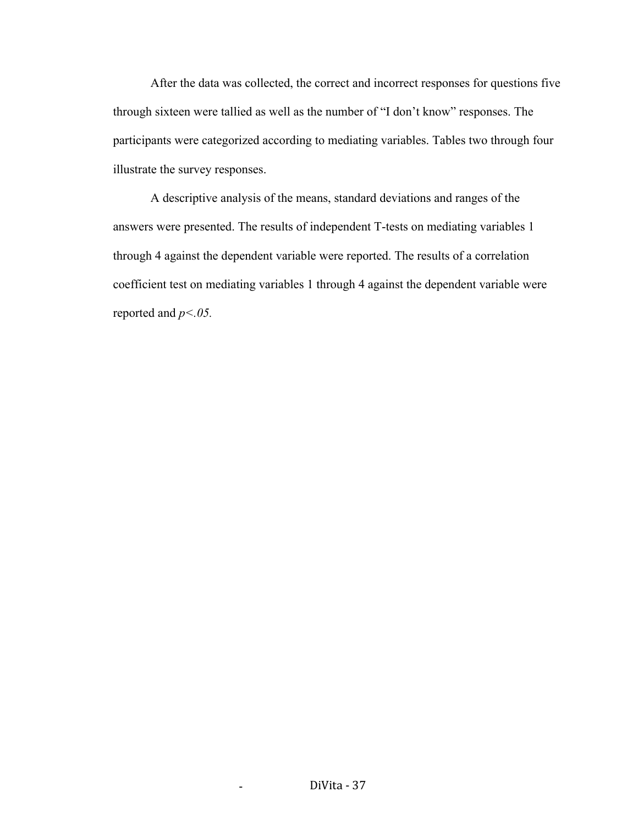After the data was collected, the correct and incorrect responses for questions five through sixteen were tallied as well as the number of "I don't know" responses. The participants were categorized according to mediating variables. Tables two through four illustrate the survey responses.

A descriptive analysis of the means, standard deviations and ranges of the answers were presented. The results of independent T-tests on mediating variables 1 through 4 against the dependent variable were reported. The results of a correlation coefficient test on mediating variables 1 through 4 against the dependent variable were reported and *p<.05.*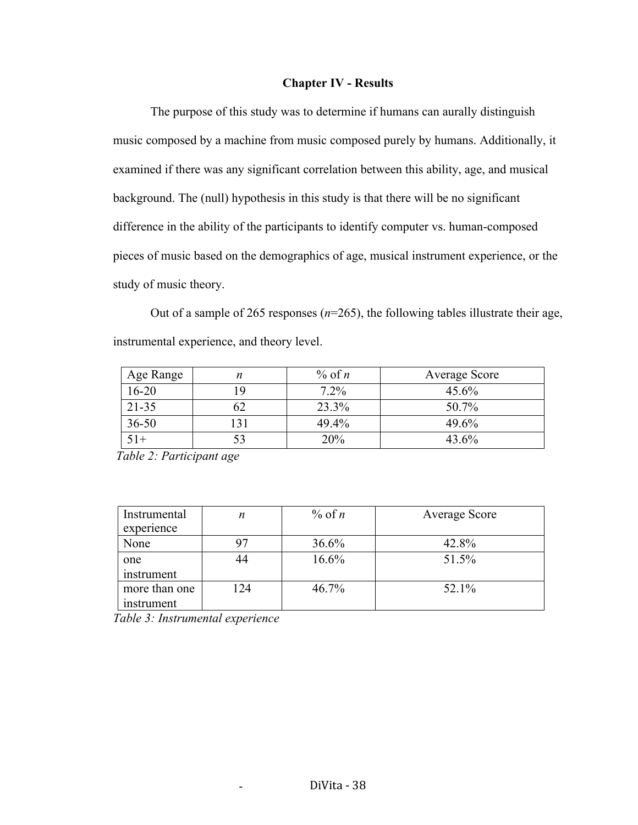# **Chapter IV - Results**

The purpose of this study was to determine if humans can aurally distinguish music composed by a machine from music composed purely by humans. Additionally, it examined if there was any significant correlation between this ability, age, and musical background. The (null) hypothesis in this study is that there will be no significant difference in the ability of the participants to identify computer vs. human-composed pieces of music based on the demographics of age, musical instrument experience, or the study of music theory.

Out of a sample of 265 responses (*n*=265), the following tables illustrate their age, instrumental experience, and theory level.

| Age Range |     | $\%$ of n | <b>Average Score</b> |
|-----------|-----|-----------|----------------------|
| $16 - 20$ | 1 Q | $7.2\%$   | 45.6%                |
| $21 - 35$ |     | 23.3%     | 50.7%                |
| $36 - 50$ | 131 | 49.4%     | 49.6%                |
| $51+$     |     | 20%       | 43.6%                |

*Table 2: Participant age*

| Instrumental  | n   | $\%$ of n | Average Score |
|---------------|-----|-----------|---------------|
| experience    |     |           |               |
| None          | 97  | $36.6\%$  | 42.8%         |
| one           | 44  | $16.6\%$  | 51.5%         |
| instrument    |     |           |               |
| more than one | 124 | $46.7\%$  | 52.1%         |
| instrument    |     |           |               |

*Table 3: Instrumental experience*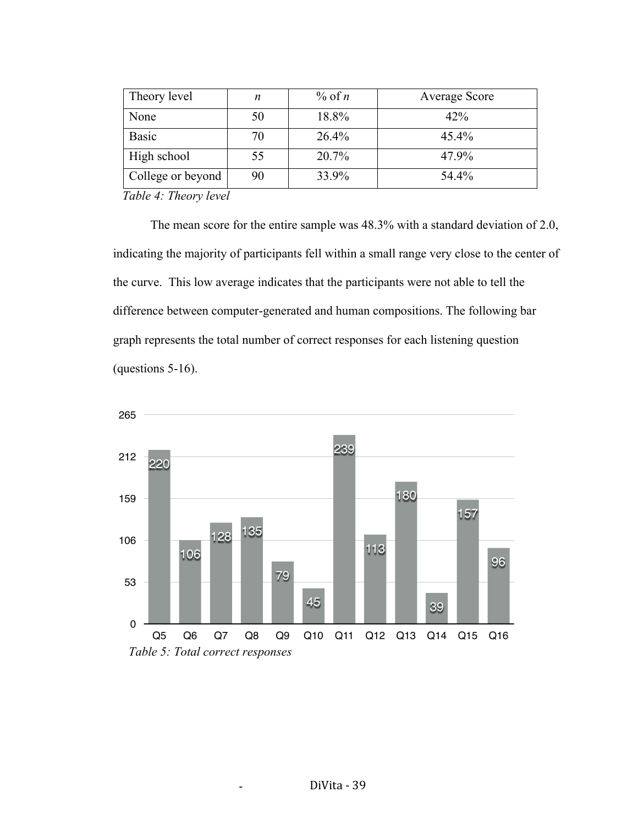| n  | $\%$ of n | Average Score |
|----|-----------|---------------|
| 50 | 18.8%     | 42%           |
| 70 | 26.4%     | $45.4\%$      |
| 55 | 20.7%     | 47.9%         |
| 90 | 33.9%     | 54.4%         |
|    |           |               |

*Table 4: Theory level*

The mean score for the entire sample was 48.3% with a standard deviation of 2.0, indicating the majority of participants fell within a small range very close to the center of the curve. This low average indicates that the participants were not able to tell the difference between computer-generated and human compositions. The following bar graph represents the total number of correct responses for each listening question (questions 5-16).

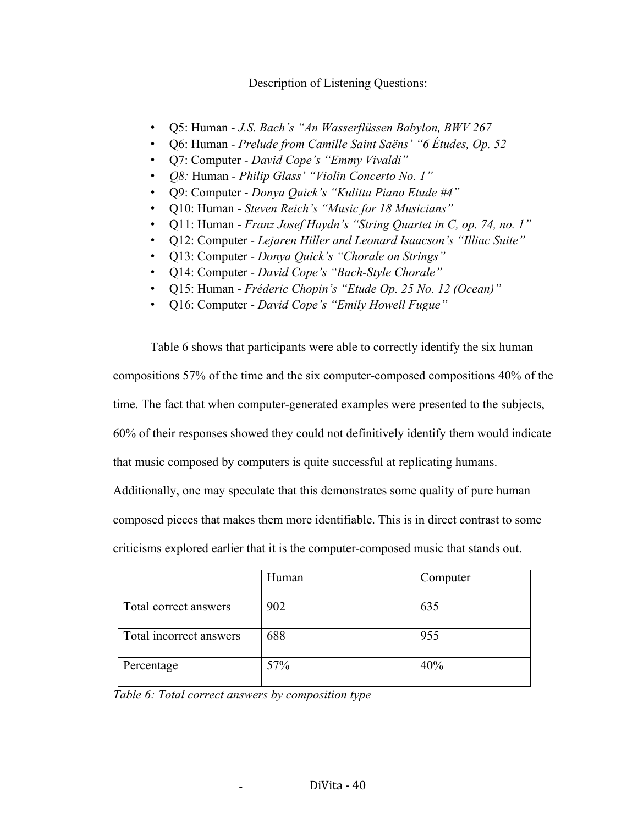# Description of Listening Questions:

- Q5: Human *J.S. Bach's "An Wasserflüssen Babylon, BWV 267*
- Q6: Human *Prelude from Camille Saint Saëns' "6 Études, Op. 52*
- Q7: Computer *David Cope's "Emmy Vivaldi"*
- *Q8:* Human *Philip Glass' "Violin Concerto No. 1"*
- Q9: Computer *Donya Quick's "Kulitta Piano Etude #4"*
- Q10: Human *Steven Reich's "Music for 18 Musicians"*
- Q11: Human *Franz Josef Haydn's "String Quartet in C, op. 74, no. 1"*
- Q12: Computer *Lejaren Hiller and Leonard Isaacson's "Illiac Suite"*
- Q13: Computer *Donya Quick's "Chorale on Strings"*
- Q14: Computer *David Cope's "Bach-Style Chorale"*
- Q15: Human *Fréderic Chopin's "Etude Op. 25 No. 12 (Ocean)"*
- Q16: Computer *David Cope's "Emily Howell Fugue"*

Table 6 shows that participants were able to correctly identify the six human

compositions 57% of the time and the six computer-composed compositions 40% of the

time. The fact that when computer-generated examples were presented to the subjects,

60% of their responses showed they could not definitively identify them would indicate

that music composed by computers is quite successful at replicating humans.

Additionally, one may speculate that this demonstrates some quality of pure human

composed pieces that makes them more identifiable. This is in direct contrast to some

criticisms explored earlier that it is the computer-composed music that stands out.

|                         | Human | Computer |
|-------------------------|-------|----------|
| Total correct answers   | 902   | 635      |
| Total incorrect answers | 688   | 955      |
| Percentage              | 57%   | 40%      |

*Table 6: Total correct answers by composition type*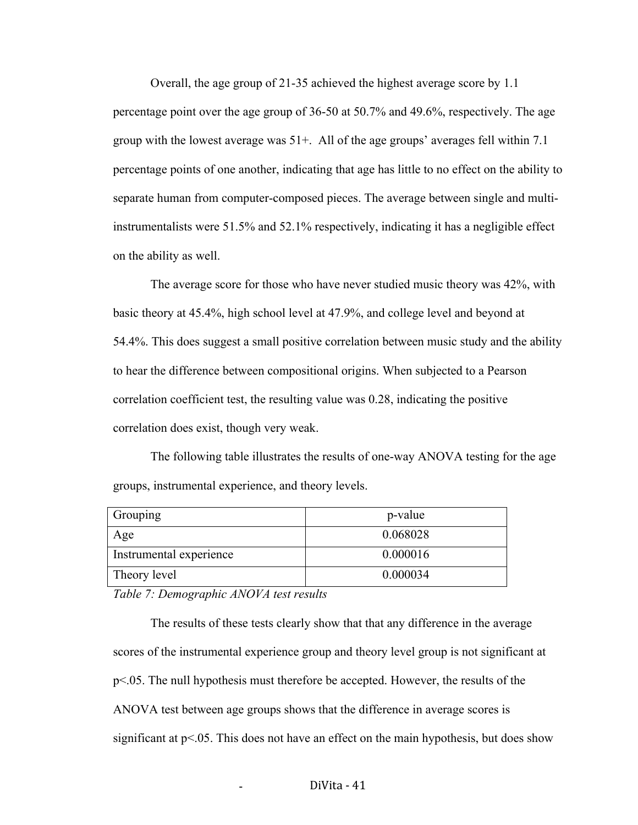Overall, the age group of 21-35 achieved the highest average score by 1.1 percentage point over the age group of 36-50 at 50.7% and 49.6%, respectively. The age group with the lowest average was 51+. All of the age groups' averages fell within 7.1 percentage points of one another, indicating that age has little to no effect on the ability to separate human from computer-composed pieces. The average between single and multiinstrumentalists were 51.5% and 52.1% respectively, indicating it has a negligible effect on the ability as well.

The average score for those who have never studied music theory was 42%, with basic theory at 45.4%, high school level at 47.9%, and college level and beyond at 54.4%. This does suggest a small positive correlation between music study and the ability to hear the difference between compositional origins. When subjected to a Pearson correlation coefficient test, the resulting value was 0.28, indicating the positive correlation does exist, though very weak.

The following table illustrates the results of one-way ANOVA testing for the age groups, instrumental experience, and theory levels.

| Grouping                | p-value  |
|-------------------------|----------|
| Age                     | 0.068028 |
| Instrumental experience | 0.000016 |
| Theory level            | 0.000034 |

*Table 7: Demographic ANOVA test results*

The results of these tests clearly show that that any difference in the average scores of the instrumental experience group and theory level group is not significant at p<.05. The null hypothesis must therefore be accepted. However, the results of the ANOVA test between age groups shows that the difference in average scores is significant at  $p<05$ . This does not have an effect on the main hypothesis, but does show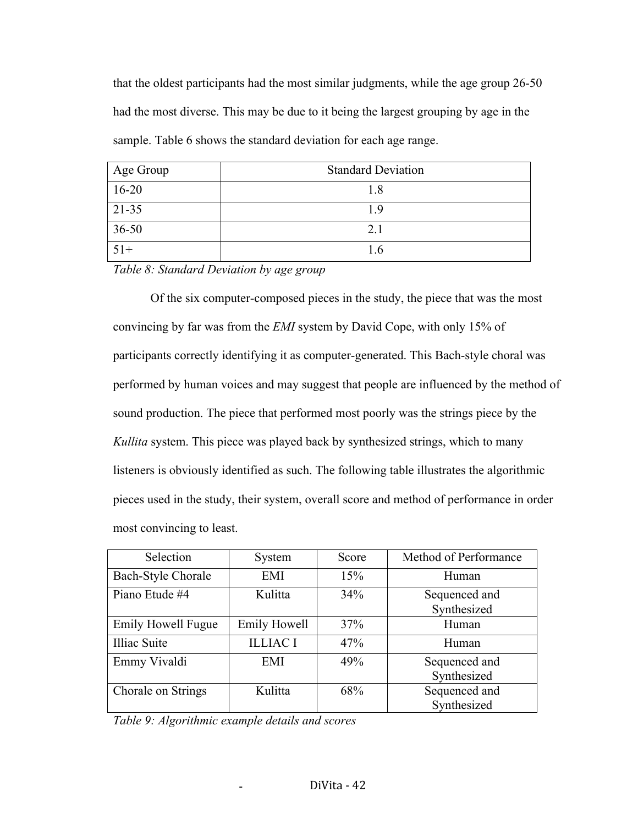that the oldest participants had the most similar judgments, while the age group 26-50 had the most diverse. This may be due to it being the largest grouping by age in the sample. Table 6 shows the standard deviation for each age range.

| Age Group | <b>Standard Deviation</b> |  |  |
|-----------|---------------------------|--|--|
| $16 - 20$ | 1.8                       |  |  |
| 21-35     | 1 Q                       |  |  |
| $36 - 50$ | 2.1                       |  |  |
| $51+$     | .0                        |  |  |

*Table 8: Standard Deviation by age group*

Of the six computer-composed pieces in the study, the piece that was the most convincing by far was from the *EMI* system by David Cope, with only 15% of participants correctly identifying it as computer-generated. This Bach-style choral was performed by human voices and may suggest that people are influenced by the method of sound production. The piece that performed most poorly was the strings piece by the *Kullita* system. This piece was played back by synthesized strings, which to many listeners is obviously identified as such. The following table illustrates the algorithmic pieces used in the study, their system, overall score and method of performance in order most convincing to least.

| Selection          | System              | Score | Method of Performance        |
|--------------------|---------------------|-------|------------------------------|
| Bach-Style Chorale | EMI                 | 15%   | Human                        |
| Piano Etude #4     | Kulitta             | 34%   | Sequenced and<br>Synthesized |
| Emily Howell Fugue | <b>Emily Howell</b> | 37%   | Human                        |
| Illiac Suite       | <b>ILLIAC I</b>     | 47%   | Human                        |
| Emmy Vivaldi       | EMI                 | 49%   | Sequenced and<br>Synthesized |
| Chorale on Strings | Kulitta             | 68%   | Sequenced and<br>Synthesized |

*Table 9: Algorithmic example details and scores*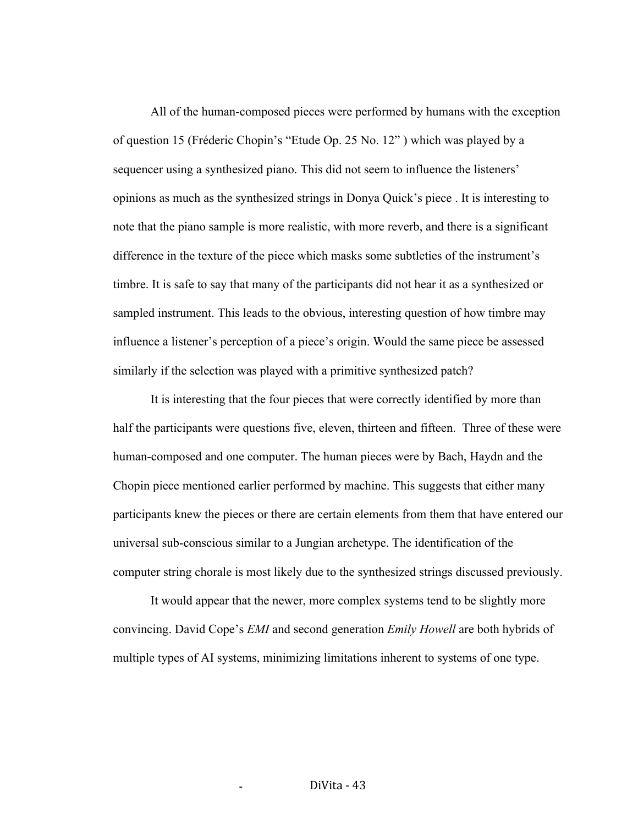All of the human-composed pieces were performed by humans with the exception of question 15 (Fréderic Chopin's "Etude Op. 25 No. 12" ) which was played by a sequencer using a synthesized piano. This did not seem to influence the listeners' opinions as much as the synthesized strings in Donya Quick's piece . It is interesting to note that the piano sample is more realistic, with more reverb, and there is a significant difference in the texture of the piece which masks some subtleties of the instrument's timbre. It is safe to say that many of the participants did not hear it as a synthesized or sampled instrument. This leads to the obvious, interesting question of how timbre may influence a listener's perception of a piece's origin. Would the same piece be assessed similarly if the selection was played with a primitive synthesized patch?

It is interesting that the four pieces that were correctly identified by more than half the participants were questions five, eleven, thirteen and fifteen. Three of these were human-composed and one computer. The human pieces were by Bach, Haydn and the Chopin piece mentioned earlier performed by machine. This suggests that either many participants knew the pieces or there are certain elements from them that have entered our universal sub-conscious similar to a Jungian archetype. The identification of the computer string chorale is most likely due to the synthesized strings discussed previously.

It would appear that the newer, more complex systems tend to be slightly more convincing. David Cope's *EMI* and second generation *Emily Howell* are both hybrids of multiple types of AI systems, minimizing limitations inherent to systems of one type.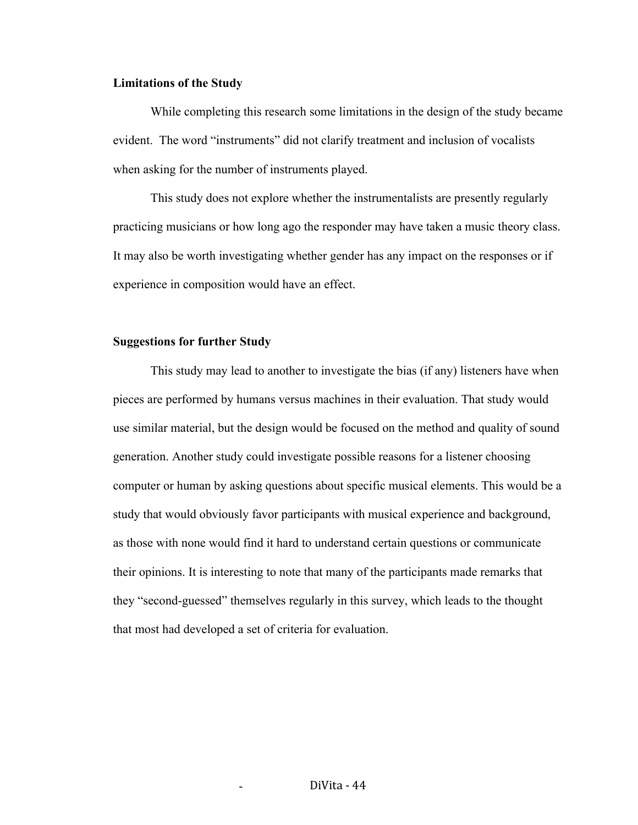# **Limitations of the Study**

While completing this research some limitations in the design of the study became evident. The word "instruments" did not clarify treatment and inclusion of vocalists when asking for the number of instruments played.

This study does not explore whether the instrumentalists are presently regularly practicing musicians or how long ago the responder may have taken a music theory class. It may also be worth investigating whether gender has any impact on the responses or if experience in composition would have an effect.

### **Suggestions for further Study**

This study may lead to another to investigate the bias (if any) listeners have when pieces are performed by humans versus machines in their evaluation. That study would use similar material, but the design would be focused on the method and quality of sound generation. Another study could investigate possible reasons for a listener choosing computer or human by asking questions about specific musical elements. This would be a study that would obviously favor participants with musical experience and background, as those with none would find it hard to understand certain questions or communicate their opinions. It is interesting to note that many of the participants made remarks that they "second-guessed" themselves regularly in this survey, which leads to the thought that most had developed a set of criteria for evaluation.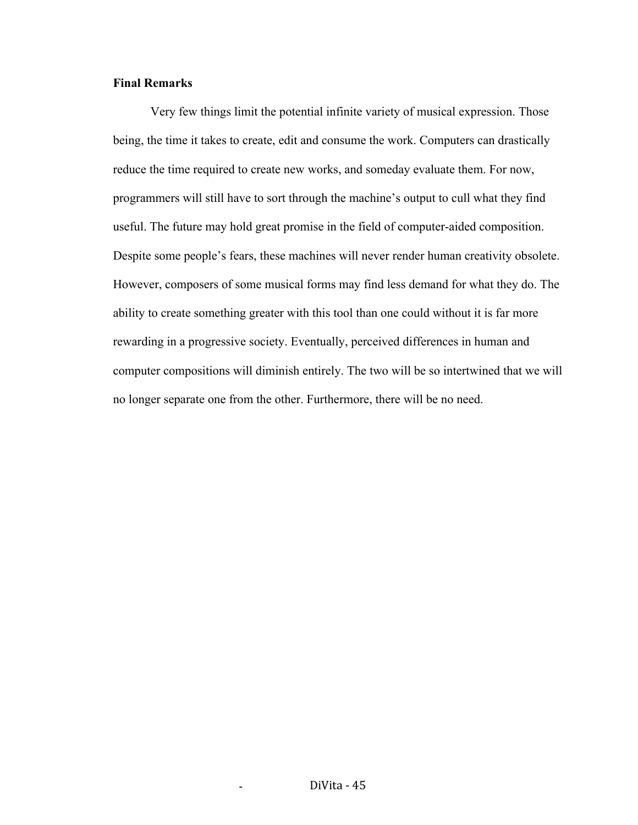# **Final Remarks**

Very few things limit the potential infinite variety of musical expression. Those being, the time it takes to create, edit and consume the work. Computers can drastically reduce the time required to create new works, and someday evaluate them. For now, programmers will still have to sort through the machine's output to cull what they find useful. The future may hold great promise in the field of computer-aided composition. Despite some people's fears, these machines will never render human creativity obsolete. However, composers of some musical forms may find less demand for what they do. The ability to create something greater with this tool than one could without it is far more rewarding in a progressive society. Eventually, perceived differences in human and computer compositions will diminish entirely. The two will be so intertwined that we will no longer separate one from the other. Furthermore, there will be no need.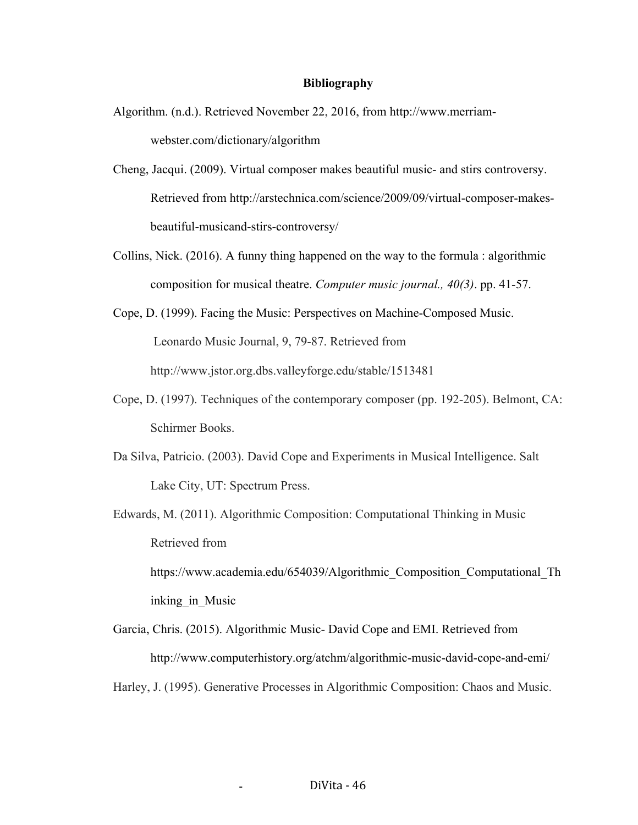#### **Bibliography**

- Algorithm. (n.d.). Retrieved November 22, 2016, from http://www.merriamwebster.com/dictionary/algorithm
- Cheng, Jacqui. (2009). Virtual composer makes beautiful music- and stirs controversy. Retrieved from http://arstechnica.com/science/2009/09/virtual-composer-makesbeautiful-musicand-stirs-controversy/
- Collins, Nick. (2016). A funny thing happened on the way to the formula : algorithmic composition for musical theatre. *Computer music journal., 40(3)*. pp. 41-57.
- Cope, D. (1999). Facing the Music: Perspectives on Machine-Composed Music. Leonardo Music Journal, 9, 79-87. Retrieved from http://www.jstor.org.dbs.valleyforge.edu/stable/1513481
- Cope, D. (1997). Techniques of the contemporary composer (pp. 192-205). Belmont, CA: Schirmer Books.
- Da Silva, Patricio. (2003). David Cope and Experiments in Musical Intelligence. Salt Lake City, UT: Spectrum Press.
- Edwards, M. (2011). Algorithmic Composition: Computational Thinking in Music Retrieved from https://www.academia.edu/654039/Algorithmic\_Composition\_Computational\_Th inking in Music
- Garcia, Chris. (2015). Algorithmic Music- David Cope and EMI. Retrieved from http://www.computerhistory.org/atchm/algorithmic-music-david-cope-and-emi/ Harley, J. (1995). Generative Processes in Algorithmic Composition: Chaos and Music.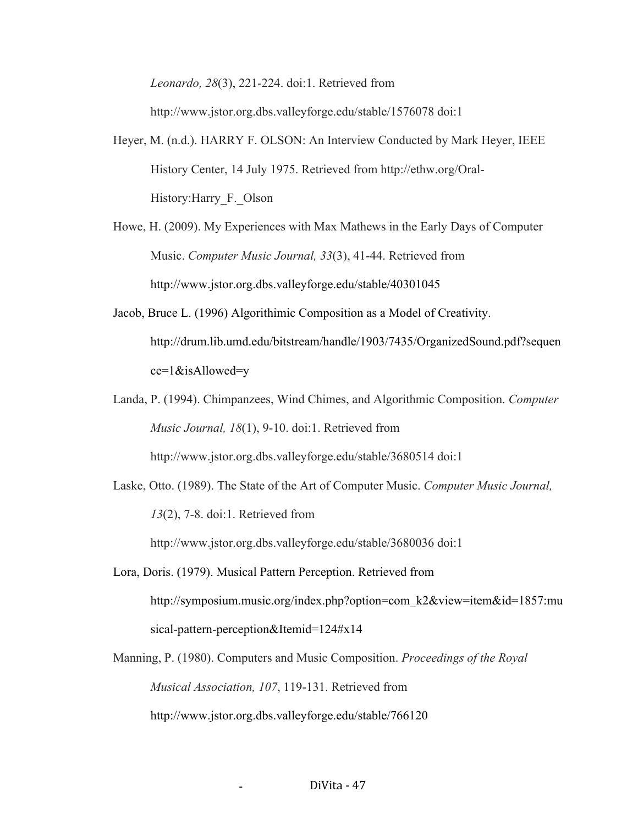*Leonardo, 28*(3), 221-224. doi:1. Retrieved from

http://www.jstor.org.dbs.valleyforge.edu/stable/1576078 doi:1

- Heyer, M. (n.d.). HARRY F. OLSON: An Interview Conducted by Mark Heyer, IEEE History Center, 14 July 1975. Retrieved from http://ethw.org/Oral-History:Harry\_F.\_Olson
- Howe, H. (2009). My Experiences with Max Mathews in the Early Days of Computer Music. *Computer Music Journal, 33*(3), 41-44. Retrieved from http://www.jstor.org.dbs.valleyforge.edu/stable/40301045
- Jacob, Bruce L. (1996) Algorithimic Composition as a Model of Creativity. http://drum.lib.umd.edu/bitstream/handle/1903/7435/OrganizedSound.pdf?sequen ce=1&isAllowed=y
- Landa, P. (1994). Chimpanzees, Wind Chimes, and Algorithmic Composition. *Computer Music Journal, 18*(1), 9-10. doi:1. Retrieved from http://www.jstor.org.dbs.valleyforge.edu/stable/3680514 doi:1
- Laske, Otto. (1989). The State of the Art of Computer Music. *Computer Music Journal, 13*(2), 7-8. doi:1. Retrieved from

http://www.jstor.org.dbs.valleyforge.edu/stable/3680036 doi:1

- Lora, Doris. (1979). Musical Pattern Perception. Retrieved from http://symposium.music.org/index.php?option=com\_k2&view=item&id=1857:mu sical-pattern-perception&Itemid=124#x14
- Manning, P. (1980). Computers and Music Composition. *Proceedings of the Royal Musical Association, 107*, 119-131. Retrieved from http://www.jstor.org.dbs.valleyforge.edu/stable/766120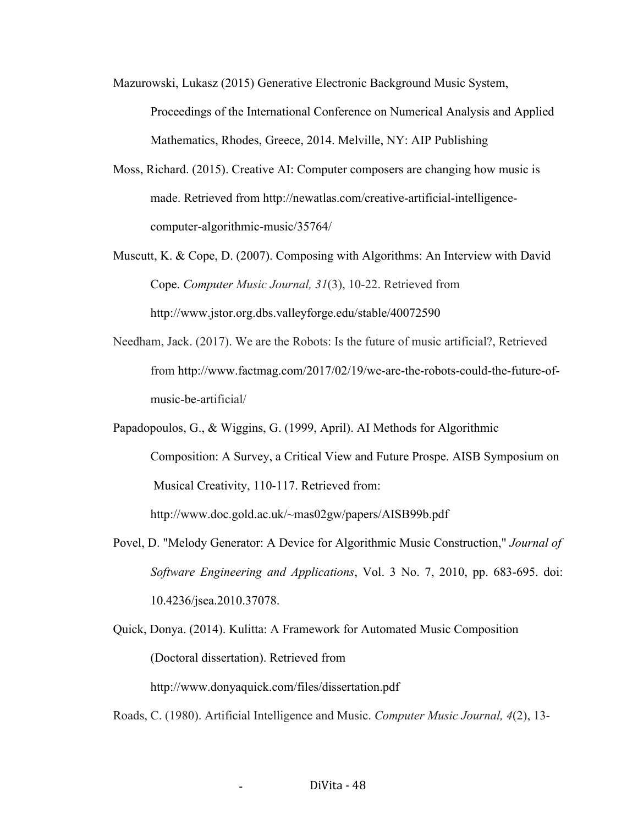- Mazurowski, Lukasz (2015) Generative Electronic Background Music System, Proceedings of the International Conference on Numerical Analysis and Applied Mathematics, Rhodes, Greece, 2014. Melville, NY: AIP Publishing
- Moss, Richard. (2015). Creative AI: Computer composers are changing how music is made. Retrieved from http://newatlas.com/creative-artificial-intelligencecomputer-algorithmic-music/35764/
- Muscutt, K. & Cope, D. (2007). Composing with Algorithms: An Interview with David Cope. *Computer Music Journal, 31*(3), 10-22. Retrieved from http://www.jstor.org.dbs.valleyforge.edu/stable/40072590
- Needham, Jack. (2017). We are the Robots: Is the future of music artificial?, Retrieved from http://www.factmag.com/2017/02/19/we-are-the-robots-could-the-future-ofmusic-be-artificial/
- Papadopoulos, G., & Wiggins, G. (1999, April). AI Methods for Algorithmic Composition: A Survey, a Critical View and Future Prospe. AISB Symposium on Musical Creativity, 110-117. Retrieved from:

http://www.doc.gold.ac.uk/~mas02gw/papers/AISB99b.pdf

- Povel, D. "Melody Generator: A Device for Algorithmic Music Construction," *Journal of Software Engineering and Applications*, Vol. 3 No. 7, 2010, pp. 683-695. doi: 10.4236/jsea.2010.37078.
- Quick, Donya. (2014). Kulitta: A Framework for Automated Music Composition (Doctoral dissertation). Retrieved from http://www.donyaquick.com/files/dissertation.pdf

Roads, C. (1980). Artificial Intelligence and Music. *Computer Music Journal, 4*(2), 13-